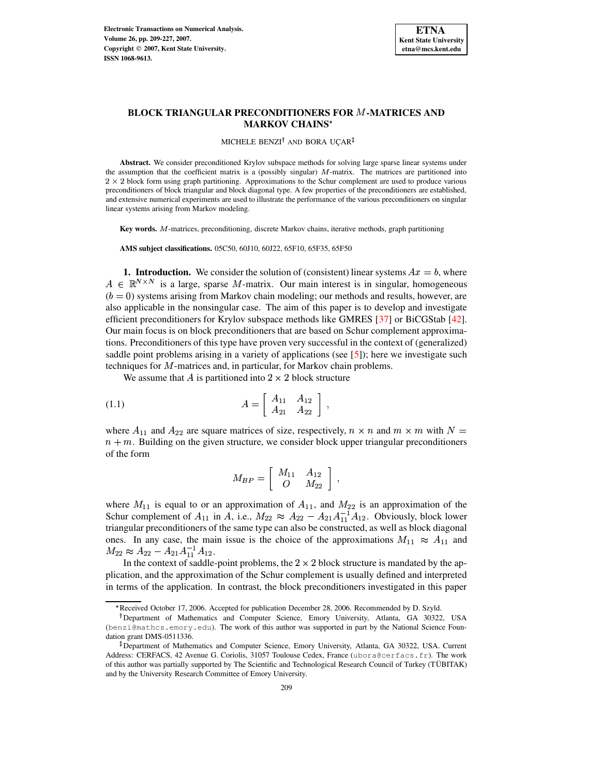

# **BLOCK TRIANGULAR PRECONDITIONERS FOR -MATRICES AND MARKOV CHAINS**

#### MICHELE BENZI<sup>†</sup> AND BORA UÇAR<sup>‡</sup>

**Abstract.** We consider preconditioned Krylov subspace methods for solving large sparse linear systems under the assumption that the coefficient matrix is a (possibly singular)  $M$ -matrix. The matrices are partitioned into  $2 \times 2$  block form using graph partitioning. Approximations to the Schur complement are used to produce various preconditioners of block triangular and block diagonal type. A few properties of the preconditioners are established, and extensive numerical experiments are used to illustrate the performance of the various preconditioners on singular linear systems arising from Markov modeling.

Key words. M-matrices, preconditioning, discrete Markov chains, iterative methods, graph partitioning

**AMS subject classifications.** 05C50, 60J10, 60J22, 65F10, 65F35, 65F50

**1. Introduction.** We consider the solution of (consistent) linear systems  $Ax = b$ , where  $A \in \mathbb{R}^{N \times N}$  is a large, sparse M-matrix. Our main interest is in singular, homogeneous  $(b = 0)$  systems arising from Markov chain modeling; our methods and results, however, are also applicable in the nonsingular case. The aim of this paper is to develop and investigate efficient preconditioners for Krylov subspace methods like GMRES [\[37\]](#page-17-0) or BiCGStab [\[42\]](#page-18-0). Our main focus is on block preconditioners that are based on Schur complement approximations. Preconditioners of this type have proven very successful in the context of (generalized) saddle point problems arising in a variety of applications (see  $[5]$ ); here we investigate such techniques for M-matrices and, in particular, for Markov chain problems.

<span id="page-0-0"></span>We assume that A is partitioned into  $2 \times 2$  block structure

(1.1) 
$$
A = \begin{bmatrix} A_{11} & A_{12} \\ A_{21} & A_{22} \end{bmatrix},
$$

where  $A_{11}$  and  $A_{22}$  are square matrices of size, respectively,  $n \times n$  and  $m \times m$  with  $N =$  $n+m$ . Building on the given structure, we consider block upper triangular preconditioners of the form

$$
M_{BP}=\left[\begin{array}{cc} M_{11} & A_{12} \\ O & M_{22} \end{array}\right]~,
$$

where  $M_{11}$  is equal to or an approximation of  $A_{11}$ , and  $M_{22}$  is an approximation of the Schur complement of  $A_{11}$  in A, i.e.,  $M_{22} \approx A_{22} - A_{21} A_{11}^{-1} A_{12}$ . Obviously, block lower triangular preconditioners of the same type can also be constructed, as well as block diagonal ones. In any case, the main issue is the choice of the approximations  $M_{11} \approx A_{11}$  and  $M_{22} \approx A_{22}-A_{21}A_{11}^{-1}A_{12}.$ 

In the context of saddle-point problems, the  $2 \times 2$  block structure is mandated by the application, and the approximation of the Schur complement is usually defined and interpreted in terms of the application. In contrast, the block preconditioners investigated in this paper

<sup>\*</sup> Received October 17, 2006. Accepted for publication December 28, 2006. Recommended by D. Szyld.

<sup>-</sup> Department of Mathematics and Computer Science, Emory University, Atlanta, GA 30322, USA (benzi@mathcs.emory.edu). The work of this author was supported in part by the National Science Foundation grant DMS-0511336.

Department of Mathematics and Computer Science, Emory University, Atlanta, GA 30322, USA. Current Address: CERFACS, 42 Avenue G. Coriolis, 31057 Toulouse Cedex, France (ubora@cerfacs.fr). The work of this author was partially supported by The Scientific and Technological Research Council of Turkey (TÜBITAK) and by the University Research Committee of Emory University.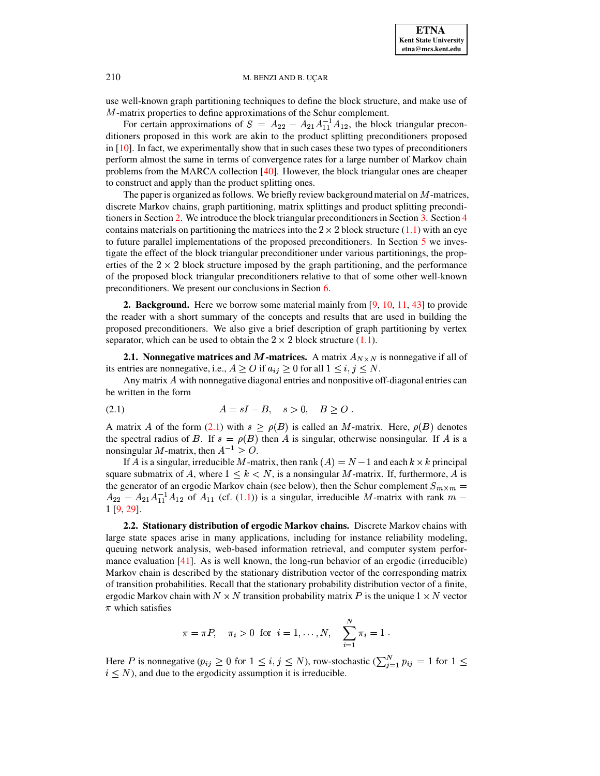use well-known graph partitioning techniques to define the block structure, and make use of  $M$ -matrix properties to define approximations of the Schur complement.

For certain approximations of  $S = A_{22} - A_{21}A_{11}^{-1}A_{12}$ , the block triangular preconditioners proposed in this work are akin to the product splitting preconditioners proposed in [\[10\]](#page-16-1). In fact, we experimentally show that in such cases these two types of preconditioners perform almost the same in terms of convergence rates for a large number of Markov chain problems from the MARCA collection [\[40\]](#page-17-1). However, the block triangular ones are cheaper to construct and apply than the product splitting ones.

The paper is organized as follows. We briefly review background material on  $M$ -matrices, discrete Markov chains, graph partitioning, matrix splittings and product splitting precondi-tioners in Section [2.](#page-1-0) We introduce the block triangular preconditioners in Section [3.](#page-4-0) Section [4](#page-6-0) contains materials on partitioning the matrices into the  $2 \times 2$  block structure [\(1.1\)](#page-0-0) with an eye to future parallel implementations of the proposed preconditioners. In Section [5](#page-8-0) we investigate the effect of the block triangular preconditioner under various partitionings, the properties of the  $2 \times 2$  block structure imposed by the graph partitioning, and the performance of the proposed block triangular preconditioners relative to that of some other well-known preconditioners. We present our conclusions in Section [6.](#page-15-0)

<span id="page-1-0"></span>**2. Background.** Here we borrow some material mainly from [\[9,](#page-16-2) [10,](#page-16-1) [11,](#page-16-3) [43\]](#page-18-1) to provide the reader with a short summary of the concepts and results that are used in building the proposed preconditioners. We also give a brief description of graph partitioning by vertex separator, which can be used to obtain the  $2 \times 2$  block structure [\(1.1\)](#page-0-0).

**2.1. Nonnegative matrices and M-matrices.** A matrix  $A_{N \times N}$  is nonnegative if all of its entries are nonnegative, i.e.,  $A \geq O$  if  $a_{ij} \geq 0$  for all  $1 \leq i, j \leq N$ .

Any matrix  $\vec{A}$  with nonnegative diagonal entries and nonpositive off-diagonal entries can be written in the form

<span id="page-1-1"></span>(2.1) 
$$
A = sI - B, \quad s > 0, \quad B \ge 0.
$$

A matrix A of the form [\(2.1\)](#page-1-1) with  $s \ge \rho(B)$  is called an M-matrix. Here,  $\rho(B)$  denotes the spectral radius of B. If  $s = \rho(B)$  then A is singular, otherwise nonsingular. If A is a nonsingular M-matrix, then  $A^{-1} \geq O$ .

If A is a singular, irreducible M-matrix, then rank  $(A) = N - 1$  and each  $k \times k$  principal square submatrix of A, where  $1 \leq k \leq N$ , is a nonsingular M-matrix. If, furthermore, A is the generator of an ergodic Markov chain (see below), then the Schur complement  $S_{m \times m}$  =  $\sim$   $m$  $A_{22} - A_{21}A_{11}^{-1}A_{12}$  of  $A_{11}$  (cf. [\(1.1\)](#page-0-0)) is a singular, irreducible M-matrix with rank  $m$  – <sup>R</sup> [\[9,](#page-16-2) [29\]](#page-17-2).

**2.2. Stationary distribution of ergodic Markov chains.** Discrete Markov chains with large state spaces arise in many applications, including for instance reliability modeling, queuing network analysis, web-based information retrieval, and computer system perfor-mance evaluation [\[41\]](#page-17-3). As is well known, the long-run behavior of an ergodic (irreducible) Markov chain is described by the stationary distribution vector of the corresponding matrix of transition probabilities. Recall that the stationary probability distribution vector of a finite, ergodic Markov chain with  $N \times N$  transition probability matrix P is the unique  $1 \times N$  vector  $\pi$  which satisfies

$$
\pi = \pi P, \quad \pi_i > 0 \text{ for } i = 1, ..., N, \quad \sum_{i=1}^{N} \pi_i = 1.
$$

Here P is nonnegative  $(p_{ij} \geq 0$  for  $1 \leq i, j \leq N$ ), row-stochastic  $(\sum_{j=1}^{N} p_{ij} = 1$  for  $1 \leq$  $i \leq N$ ), and due to the ergodicity assumption it is irreducible.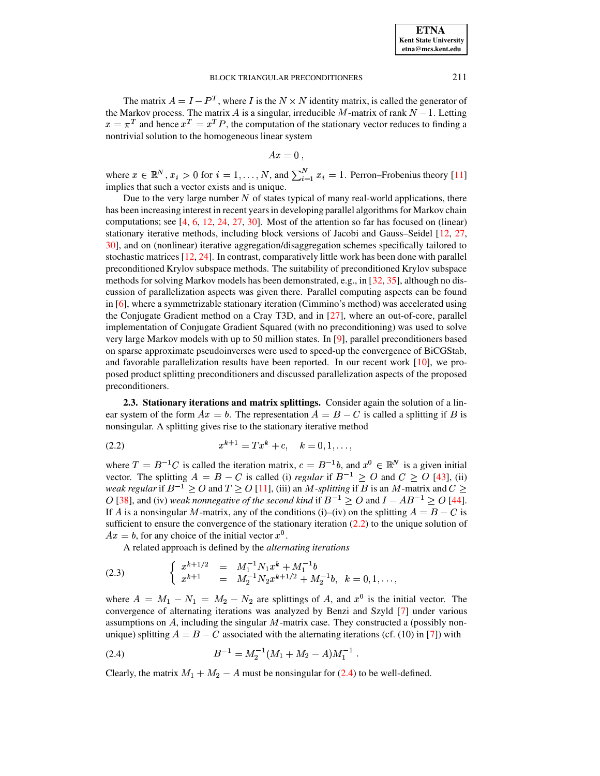The matrix  $A = I - P^T$ , where I is the  $N \times N$  identity matrix, is called the generator of the Markov process. The matrix A is a singular, irreducible M-matrix of rank  $N-1$ . Letting  $x = \pi^T$  and hence  $x^T = x^T P$ , the computation of the stationary vector reduces to finding a nontrivial solution to the homogeneous linear system

$$
Ax=0,
$$

where  $x \in \mathbb{R}^N$ ,  $x_i > 0$  for  $i = 1, ..., N$ , and  $\sum_{i=1}^{N} x_i = 1$ . Perron–Frobenius theory [\[11\]](#page-16-3) implies that such a vector exists and is unique.

Due to the very large number  $N$  of states typical of many real-world applications, there has been increasing interest in recent years in developing parallel algorithms for Markov chain computations; see [\[4,](#page-16-4) [6,](#page-16-5) [12,](#page-16-6) [24,](#page-17-4) [27,](#page-17-5) [30\]](#page-17-6). Most of the attention so far has focused on (linear) stationary iterative methods, including block versions of Jacobi and Gauss–Seidel [\[12,](#page-16-6) [27,](#page-17-5) [30\]](#page-17-6), and on (nonlinear) iterative aggregation/disaggregation schemes specifically tailored to stochastic matrices [\[12,](#page-16-6) [24\]](#page-17-4). In contrast, comparatively little work has been done with parallel preconditioned Krylov subspace methods. The suitability of preconditioned Krylov subspace methods for solving Markov models has been demonstrated, e.g., in [\[32,](#page-17-7) [35\]](#page-17-8), although no discussion of parallelization aspects was given there. Parallel computing aspects can be found in [\[6\]](#page-16-5), where a symmetrizable stationary iteration (Cimmino's method) was accelerated using the Conjugate Gradient method on a Cray T3D, and in [\[27\]](#page-17-5), where an out-of-core, parallel implementation of Conjugate Gradient Squared (with no preconditioning) was used to solve very large Markov models with up to 50 million states. In [\[9\]](#page-16-2), parallel preconditioners based on sparse approximate pseudoinverses were used to speed-up the convergence of BiCGStab, and favorable parallelization results have been reported. In our recent work [\[10\]](#page-16-1), we proposed product splitting preconditioners and discussed parallelization aspects of the proposed preconditioners.

**2.3. Stationary iterations and matrix splittings.** Consider again the solution of a linear system of the form  $Ax = b$ . The representation  $A = B - C$  is called a splitting if B is nonsingular. A splitting gives rise to the stationary iterative method

<span id="page-2-0"></span>
$$
(2.2) \t x^{k+1} = Tx^k + c, \t k = 0, 1, ...,
$$

where  $T = B^{-1}C$  is called the iteration matrix,  $c = B^{-1}b$ , and  $x^0 \in \mathbb{R}^N$  is a given initial vector. The splitting  $A = B - C$  is called (i) *regular* if  $B^{-1} \geq O$  and  $C \geq O$  [\[43\]](#page-18-1), (ii) *weak regular* if  $B^{-1} \geq O$  and  $T \geq O$  [\[11\]](#page-16-3), (iii) an *M*-splitting if  $B$  is an *M*-matrix and  $C \geq$ O [\[38\]](#page-17-9), and (iv) *weak* nonnegative of the second kind if  $B^{-1} \geq O$  and  $I - AB^{-1} \geq O$  [\[44\]](#page-18-2). If A is a nonsingular M-matrix, any of the conditions (i)–(iv) on the splitting  $A = B - C$  is sufficient to ensure the convergence of the stationary iteration  $(2.2)$  to the unique solution of  $Ax = b$ , for any choice of the initial vector  $x^0$ .

A related approach is defined by the *alternating iterations*

<span id="page-2-2"></span>(2.3) 
$$
\begin{cases} x^{k+1/2} = M_1^{-1}N_1x^k + M_1^{-1}b \\ x^{k+1} = M_2^{-1}N_2x^{k+1/2} + M_2^{-1}b, \ k = 0, 1, ..., \end{cases}
$$

where  $A = M_1 - N_1 = M_2 - N_2$  are splittings of A, and  $x^0$  is the initial vector. The convergence of alternating iterations was analyzed by Benzi and Szyld [\[7\]](#page-16-7) under various assumptions on  $A$ , including the singular  $M$ -matrix case. They constructed a (possibly nonunique) splitting  $A = B - C$  associated with the alternating iterations (cf. (10) in [\[7\]](#page-16-7)) with

<span id="page-2-1"></span>
$$
(2.4) \t\t\t B^{-1} = M_2^{-1}(M_1 + M_2 - A)M_1^{-1}.
$$

Clearly, the matrix  $M_1 + M_2 - A$  must be nonsingular for [\(2.4\)](#page-2-1) to be well-defined.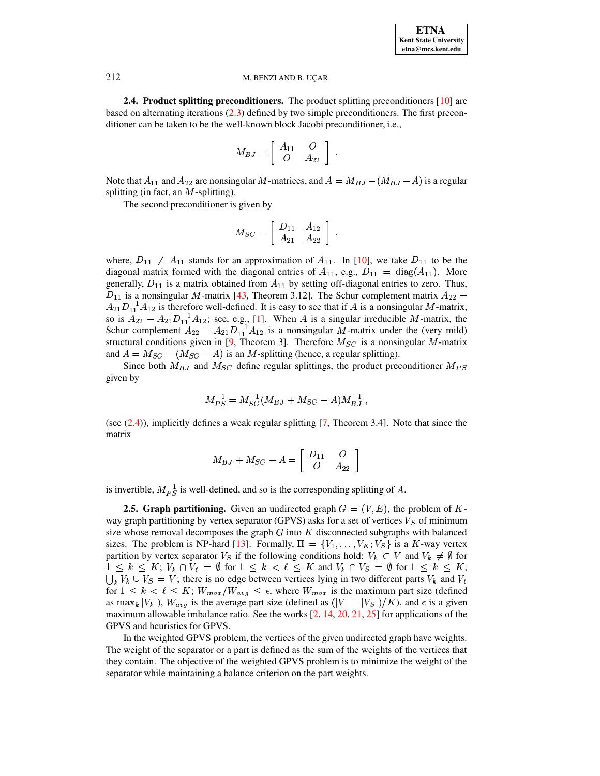<span id="page-3-0"></span>**2.4. Product splitting preconditioners.** The product splitting preconditioners [\[10\]](#page-16-1) are based on alternating iterations [\(2.3\)](#page-2-2) defined by two simple preconditioners. The first preconditioner can be taken to be the well-known block Jacobi preconditioner, i.e.,

$$
M_{BJ} = \left[ \begin{array}{cc} A_{11} & O \\ O & A_{22} \end{array} \right] \ .
$$

Note that  $A_{11}$  and  $A_{22}$  are nonsingular M-matrices, and  $A = M_{BJ} - (M_{BJ} - A)$  is a regular splitting (in fact, an  $M$ -splitting).

The second preconditioner is given by

$$
M_{SC} = \left[ \begin{array}{cc} D_{11} & A_{12} \\ A_{21} & A_{22} \end{array} \right] ,
$$

where,  $D_{11} \neq A_{11}$  stands for an approximation of  $A_{11}$ . In [\[10\]](#page-16-1), we take  $D_{11}$  to be the diagonal matrix formed with the diagonal entries of  $A_{11}$ , e.g.,  $D_{11} = \text{diag}(A_{11})$ . More generally,  $D_{11}$  is a matrix obtained from  $A_{11}$  by setting off-diagonal entries to zero. Thus,  $D_{11}$  is a nonsingular M-matrix [\[43,](#page-18-1) Theorem 3.12]. The Schur complement matrix  $A_{22}$  –  $A_{21}D_{11}^{-1}A_{12}$  is therefore well-defined. It is easy to see that if A is a nonsingular M-matrix, so is  $A_{22} - A_{21}D_{11}^{-1}A_{12}$ ; see, e.g., [\[1\]](#page-16-8). When A is a singular irreducible M-matrix, the Schur complement  $A_{22} - A_{21}D_{11}^{-1}A_{12}$  is a nonsingular M-matrix under the (very mild) structural conditions given in [\[9,](#page-16-2) Theorem 3]. Therefore  $M_{SC}$  is a nonsingular M-matrix and  $A = M_{SC} - (M_{SC} - A)$  is an M-splitting (hence, a regular splitting).

Since both  $M_{BJ}$  and  $M_{SC}$  define regular splittings, the product preconditioner  $M_{PS}$ given by

$$
M_{PS}^{-1} = M_{SC}^{-1}(M_{BJ} + M_{SC} - A)M_{BJ}^{-1} ,
$$

(see [\(2.4\)](#page-2-1)), implicitly defines a weak regular splitting [\[7,](#page-16-7) Theorem 3.4]. Note that since the matrix

$$
M_{BJ} + M_{SC} - A = \left[ \begin{array}{cc} D_{11} & O \\ O & A_{22} \end{array} \right]
$$

is invertible,  $M_{PS}^{-1}$  is well-defined, and so is the corresponding splitting of A.

**2.5. Graph partitioning.** Given an undirected graph  $G = (V, E)$ , the problem of Kway graph partitioning by vertex separator (GPVS) asks for a set of vertices  $V_S$  of minimum size whose removal decomposes the graph  $G$  into  $K$  disconnected subgraphs with balanced sizes. The problem is NP-hard [\[13\]](#page-16-9). Formally,  $\Pi = \{V_1, \ldots, V_K; V_S\}$  is a  $K$ -way vertex partition by vertex separator  $V_S$  if the following conditions hold:  $V_k \subset V$  and  $V_k \neq \emptyset$  for  $1 \leq k \leq K$ ;  $V_k \cap V_\ell = \emptyset$  for  $1 \leq k < \ell \leq K$  and  $V_k \cap V_S = \emptyset$  for  $1 \leq k \leq K$ ;  $\bigcup_k V_k \cup V_S = V$ ; there is no edge between vertices lying in two different parts  $V_k$  and  $V_\ell$  $\sum_{k=1}^{\infty} k^k$  is the solution of  $1 \leq k \leq \ell \leq K$ ;  $W_{max}/W_{avg} \leq \epsilon$ , where  $W_{max}$  is the maximum part size (defined as  $\max_k |V_k|$ ),  $W_{avg}$  is the average part size (defined as  $(|V| - |V_S|)/K$ ), and  $\epsilon$  is a given  $\frac{1}{2}$  maximum allowable imbalance ratio. See the works [\[2,](#page-16-10) [14,](#page-16-11) [20,](#page-17-10) [21,](#page-17-11) [25\]](#page-17-12) for applications of the GPVS and heuristics for GPVS.

In the weighted GPVS problem, the vertices of the given undirected graph have weights. The weight of the separator or a part is defined as the sum of the weights of the vertices that they contain. The objective of the weighted GPVS problem is to minimize the weight of the separator while maintaining a balance criterion on the part weights.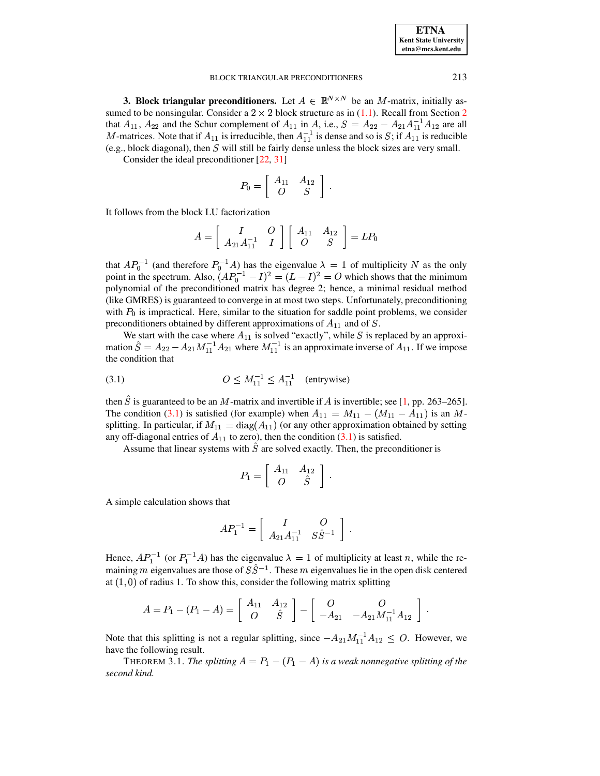| <b>ETNA</b>                  |
|------------------------------|
| <b>Kent State University</b> |
| etna@mcs.kent.edu            |

<span id="page-4-0"></span>**3. Block triangular preconditioners.** Let  $A \in \mathbb{R}^{N \times N}$  be an M-matrix, initially assumed to be nonsingular. Consider a  $2 \times 2$  block structure as in (1.1). Recall from Section 2 that  $A_{11}$ ,  $A_{22}$  and the Schur complement of  $A_{11}$  in A, i.e.,  $S = A_{22} - A_{21}A_{11}^{-1}A_{12}$  are all M-matrices. Note that if  $A_{11}$  is irreducible, then  $A_{11}^{-1}$  is dense and so is S; if  $A_{11}^{-1}$  is reducible (e.g., block diagonal), then  $S$  will still be fairly dense unless the block sizes are very small.

Consider the ideal preconditioner  $[22, 31]$ 

$$
P_0 = \left[ \begin{array}{cc} A_{11} & A_{12} \\ O & S \end{array} \right] \; .
$$

It follows from the block LU factorization

$$
A = \left[ \begin{array}{cc} I & O \\ A_{21}A_{11}^{-1} & I \end{array} \right] \left[ \begin{array}{cc} A_{11} & A_{12} \\ O & S \end{array} \right] = LP_0
$$

that  $AP_0^{-1}$  (and therefore  $P_0^{-1}A$ ) has the eigenvalue  $\lambda = 1$  of multiplicity N as the only point in the spectrum. Also,  $(AP_0^{-1} - I)^2 = (L - I)^2 = O$  which shows that the minimum polynomial of the preconditioned matrix has degree 2; hence, a minimal residual method (like GMRES) is guaranteed to converge in at most two steps. Unfortunately, preconditioning with  $P_0$  is impractical. Here, similar to the situation for saddle point problems, we consider preconditioners obtained by different approximations of  $A_{11}$  and of S.

We start with the case where  $A_{11}$  is solved "exactly", while S is replaced by an approximation  $\hat{S} = A_{22} - A_{21} M_{11}^{-1} A_{21}$  where  $M_{11}^{-1}$  is an approximate inverse of  $A_{11}$ . If we impose the condition that

<span id="page-4-1"></span>(3.1) 
$$
O \le M_{11}^{-1} \le A_{11}^{-1} \quad \text{(entrywise)}
$$

then  $\hat{S}$  is guaranteed to be an M-matrix and invertible if A is invertible; see [1, pp. 263–265]. The condition (3.1) is satisfied (for example) when  $A_{11} = M_{11} - (M_{11} - A_{11})$  is an Msplitting. In particular, if  $M_{11} = diag(A_{11})$  (or any other approximation obtained by setting any off-diagonal entries of  $A_{11}$  to zero), then the condition (3.1) is satisfied.

Assume that linear systems with  $\hat{S}$  are solved exactly. Then, the preconditioner is

$$
P_1 = \left[ \begin{array}{cc} A_{11} & A_{12} \\ O & \hat{S} \end{array} \right] \; .
$$

A simple calculation shows that

$$
AP_1^{-1} = \left[ \begin{array}{cc} I & O \\ A_{21}A_{11}^{-1} & S\hat{S}^{-1} \end{array} \right] .
$$

Hence,  $AP_1^{-1}$  (or  $P_1^{-1}A$ ) has the eigenvalue  $\lambda = 1$  of multiplicity at least n, while the remaining m eigenvalues are those of  $S\hat{S}^{-1}$ . These m eigenvalues lie in the open disk centered at  $(1,0)$  of radius 1. To show this, consider the following matrix splitting

$$
A = P_1 - (P_1 - A) = \begin{bmatrix} A_{11} & A_{12} \\ O & S \end{bmatrix} - \begin{bmatrix} O & O \\ -A_{21} & -A_{21}M_{11}^{-1}A_{12} \end{bmatrix}.
$$

Note that this splitting is not a regular splitting, since  $-A_{21}M_{11}^{-1}A_{12} \leq O$ . However, we have the following result.

THEOREM 3.1. The splitting  $A = P_1 - (P_1 - A)$  is a weak nonnegative splitting of the second kind.

213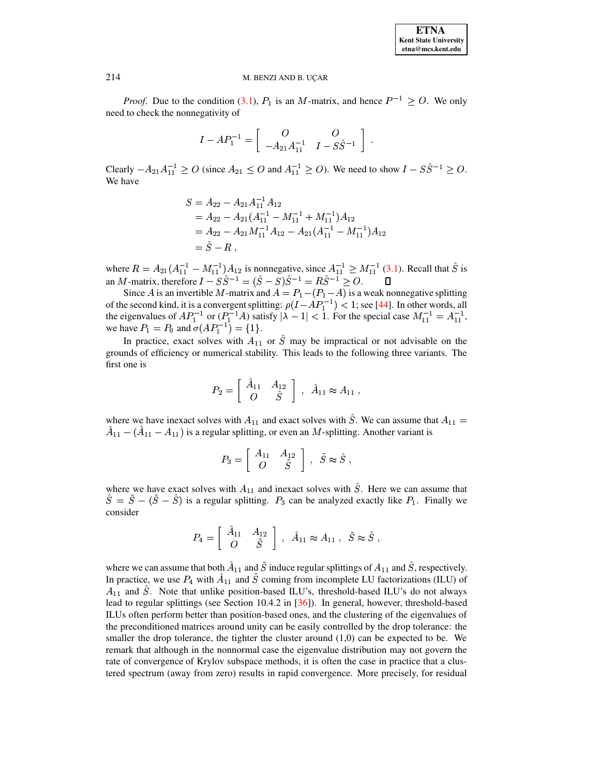*Proof.* Due to the condition (3.1),  $P_1$  is an M-matrix, and hence  $P^{-1} \geq O$ . We only need to check the nonnegativity of

$$
I - AP_1^{-1} = \begin{bmatrix} 0 & O \\ -A_{21}A_{11}^{-1} & I - S\hat{S}^{-1} \end{bmatrix}.
$$

Clearly  $-A_{21}A_{11}^{-1} \geq O$  (since  $A_{21} \leq O$  and  $A_{11}^{-1} \geq O$ ). We need to show  $I - S\hat{S}^{-1} \geq O$ . We have

$$
S = A_{22} - A_{21}A_{11}^{-1}A_{12}
$$
  
=  $A_{22} - A_{21}(A_{11}^{-1} - M_{11}^{-1} + M_{11}^{-1})A_{12}$   
=  $A_{22} - A_{21}M_{11}^{-1}A_{12} - A_{21}(A_{11}^{-1} - M_{11}^{-1})A_{12}$   
=  $\hat{S} - R$ ,

where  $R = A_{21}(A_{11}^{-1} - M_{11}^{-1})A_{12}$  is nonnegative, since  $A_{11}^{-1} \ge M_{11}^{-1}$  (3.1). Recall that  $\hat{S}$  is an *M*-matrix, therefore  $I - S\hat{S}^{-1} = (\hat{S} - S)\hat{S}^{-1} = R\hat{S}^{-1} \ge O$ .  $\square$ 

Since A is an invertible M-matrix and  $A = P_1 - (P_1 - A)$  is a weak nonnegative splitting of the second kind, it is a convergent splitting:  $\rho(I - AP_1^{-1}) < 1$ ; see [44]. In other words, all<br>the eigenvalues of  $AP_1^{-1}$  or  $(P_1^{-1}A)$  satisfy  $|\lambda - 1| < 1$ . For the special case  $M_{11}^{-1} = A_{11}^{-1}$ ,<br>we have  $P_1 = P_0$  a

In practice, exact solves with  $A_{11}$  or  $\hat{S}$  may be impractical or not advisable on the grounds of efficiency or numerical stability. This leads to the following three variants. The first one is

$$
P_2 = \left[ \begin{array}{cc} \hat{A}_{11} & A_{12} \\ O & \hat{S} \end{array} \right] \,, \quad \hat{A}_{11} \approx A_{11}
$$

where we have inexact solves with  $A_{11}$  and exact solves with  $\hat{S}$ . We can assume that  $A_{11}$  =  $\hat{A}_{11}$  –  $(\hat{A}_{11} - A_{11})$  is a regular splitting, or even an M-splitting. Another variant is

$$
P_3 = \left[ \begin{array}{cc} A_{11} & A_{12} \\ O & \tilde{S} \end{array} \right] , \ \tilde{S} \approx \hat{S} ,
$$

where we have exact solves with  $A_{11}$  and inexact solves with  $\hat{S}$ . Here we can assume that  $\hat{S} = \tilde{S} - (\tilde{S} - \hat{S})$  is a regular splitting.  $P_3$  can be analyzed exactly like  $P_1$ . Finally we consider

$$
P_4 = \left[ \begin{array}{cc} \hat{A}_{11} & A_{12} \\ O & \tilde{S} \end{array} \right] , \ \hat{A}_{11} \approx A_{11} , \ \tilde{S} \approx \hat{S} ,
$$

where we can assume that both  $\hat{A}_{11}$  and  $\tilde{S}$  induce regular splittings of  $A_{11}$  and  $\hat{S}$ , respectively. In practice, we use  $P_4$  with  $\hat{A}_{11}$  and  $\tilde{S}$  coming from incomplete LU factorizations (ILU) of  $A_{11}$  and  $\ddot{S}$ . Note that unlike position-based ILU's, threshold-based ILU's do not always lead to regular splittings (see Section 10.4.2 in [36]). In general, however, threshold-based ILUs often perform better than position-based ones, and the clustering of the eigenvalues of the preconditioned matrices around unity can be easily controlled by the drop tolerance: the smaller the drop tolerance, the tighter the cluster around  $(1,0)$  can be expected to be. We remark that although in the nonnormal case the eigenvalue distribution may not govern the rate of convergence of Krylov subspace methods, it is often the case in practice that a clustered spectrum (away from zero) results in rapid convergence. More precisely, for residual

214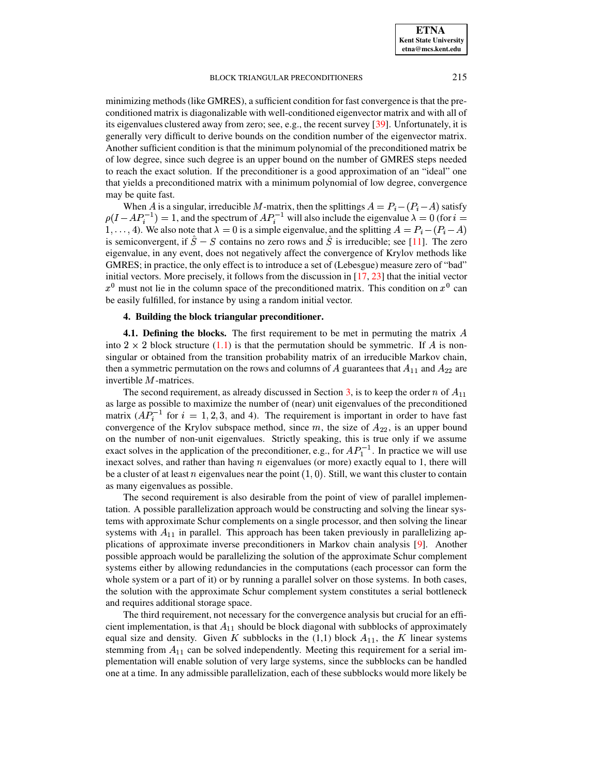minimizing methods(like GMRES), a sufficient condition for fast convergence is that the preconditioned matrix is diagonalizable with well-conditioned eigenvector matrix and with all of its eigenvalues clustered away from zero; see, e.g., the recent survey [\[39\]](#page-17-16). Unfortunately, it is generally very difficult to derive bounds on the condition number of the eigenvector matrix. Another sufficient condition is that the minimum polynomial of the preconditioned matrix be of low degree, since such degree is an upper bound on the number of GMRES steps needed to reach the exact solution. If the preconditioner is a good approximation of an "ideal" one that yields a preconditioned matrix with a minimum polynomial of low degree, convergence may be quite fast.

When A is a singular, irreducible M-matrix, then the splittings  $A = P_i - (P_i - A)$  satisfy  $\rho(I - AP_i^{-1}) = 1$ , and the spectrum of  $AP_i^{-1}$  will also include the eigenvalue  $\lambda = 0$  (for  $i =$ 1, ..., 4). We also note that  $\lambda = 0$  is a simple eigenvalue, and the splitting  $A = P_i - (P_i - A)$ is semiconvergent, if  $S - S$  contains no zero rows and S is irreducible; see [\[11\]](#page-16-3). The zero eigenvalue, in any event, does not negatively affect the convergence of Krylov methods like GMRES; in practice, the only effect is to introduce a set of (Lebesgue) measure zero of "bad" initial vectors. More precisely, it follows from the discussion in [\[17,](#page-17-17) [23\]](#page-17-18) that the initial vector  $x^0$  must not lie in the column space of the preconditioned matrix. This condition on  $x^0$  can be easily fulfilled, for instance by using a random initial vector.

# **4. Building the block triangular preconditioner.**

<span id="page-6-0"></span>**4.1. Defining the blocks.** The first requirement to be met in permuting the matrix A into  $2 \times 2$  block structure [\(1.1\)](#page-0-0) is that the permutation should be symmetric. If A is nonsingular or obtained from the transition probability matrix of an irreducible Markov chain, then a symmetric permutation on the rows and columns of A guarantees that  $A_{11}$  and  $A_{22}$  are invertible  $M$ -matrices.

The second requirement, as already discussed in Section [3,](#page-4-0) is to keep the order n of  $A_{11}$ as large as possible to maximize the number of (near) unit eigenvalues of the preconditioned matrix  $(AP_i^{-1}$  for  $i = 1, 2, 3,$  and 4). The requirement is important in order to have fast convergence of the Krylov subspace method, since  $m$ , the size of  $A_{22}$ , is an upper bound on the number of non-unit eigenvalues. Strictly speaking, this is true only if we assume exact solves in the application of the preconditioner, e.g., for  $AP_1^{-1}$ . In practice we will use inexact solves, and rather than having  $n$  eigenvalues (or more) exactly equal to 1, there will be a cluster of at least *n* eigenvalues near the point  $(1, 0)$ . Still, we want this cluster to contain as many eigenvalues as possible.

The second requirement is also desirable from the point of view of parallel implementation. A possible parallelization approach would be constructing and solving the linear systems with approximate Schur complements on a single processor, and then solving the linear systems with  $A_{11}$  in parallel. This approach has been taken previously in parallelizing applications of approximate inverse preconditioners in Markov chain analysis [\[9\]](#page-16-2). Another possible approach would be parallelizing the solution of the approximate Schur complement systems either by allowing redundancies in the computations (each processor can form the whole system or a part of it) or by running a parallel solver on those systems. In both cases, the solution with the approximate Schur complement system constitutes a serial bottleneck and requires additional storage space.

The third requirement, not necessary for the convergence analysis but crucial for an efficient implementation, is that  $A_{11}$  should be block diagonal with subblocks of approximately equal size and density. Given K subblocks in the (1,1) block  $A_{11}$ , the K linear systems stemming from  $A_{11}$  can be solved independently. Meeting this requirement for a serial implementation will enable solution of very large systems, since the subblocks can be handled one at a time. In any admissible parallelization, each of these subblocks would more likely be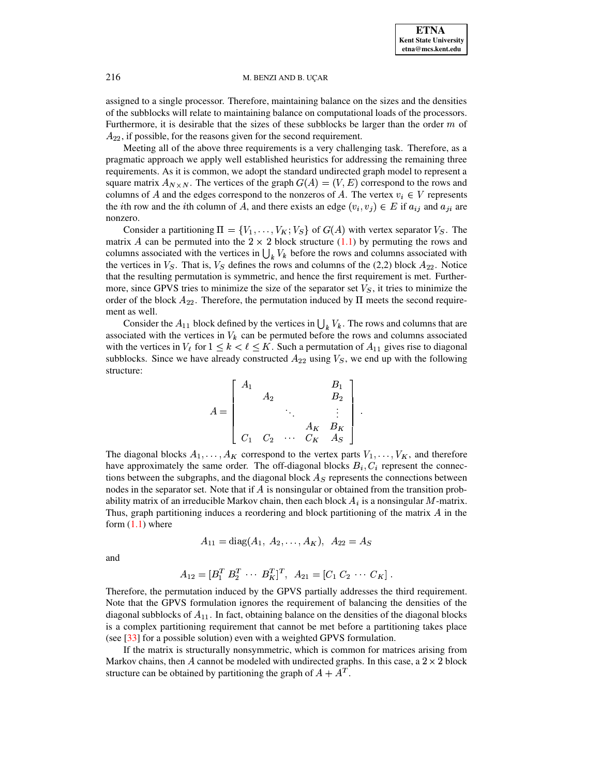assigned to a single processor. Therefore, maintaining balance on the sizes and the densities of the subblocks will relate to maintaining balance on computational loads of the processors. Furthermore, it is desirable that the sizes of these subblocks be larger than the order  $m$  of  $A_{22}$ , if possible, for the reasons given for the second requirement.

Meeting all of the above three requirements is a very challenging task. Therefore, as a pragmatic approach we apply well established heuristics for addressing the remaining three requirements. As it is common, we adopt the standard undirected graph model to represent a square matrix  $A_{N \times N}$ . The vertices of the graph  $G(A) = (V, E)$  correspond to the rows and columns of A and the edges correspond to the nonzeros of A. The vertex  $v_i \in V$  represents the *i*th row and the *i*th column of A, and there exists an edge  $(v_i, v_j) \in E$  if  $a_{ij}$  and  $a_{ji}$  are nonzero.

Consider a partitioning  $\Pi = \{V_1, \ldots, V_K; V_S\}$  of  $G(A)$  with vertex separator  $V_S$ . The matrix A can be permuted into the  $2 \times 2$  block structure [\(1.1\)](#page-0-0) by permuting the rows and columns associated with the vertices in  $\bigcup_k V_k$  before the rows and columns associated with the vertices in  $V_S$ . That is,  $V_S$  defines the rows and columns of the (2,2) block  $A_{22}$ . Notice that the resulting permutation is symmetric, and hence the first requirement is met. Furthermore, since GPVS tries to minimize the size of the separator set  $V<sub>S</sub>$ , it tries to minimize the order of the block  $A_{22}$ . Therefore, the permutation induced by  $\Pi$  meets the second requirement as well.

Consider the  $A_{11}$  block defined by the vertices in  $\bigcup_k V_k$ . The rows and columns that are associated with the vertices in  $V_k$  can be permuted before the rows and columns associated with the vertices in  $V_{\ell}$  for  $1 \leq k < \ell \leq K$ . Such a permutation of  $A_{11}$  gives rise to diagonal subblocks. Since we have already constructed  $A_{22}$  using  $V_S$ , we end up with the following structure:

$$
A = \begin{bmatrix} A_1 & & & & B_1 \\ & A_2 & & & B_2 \\ & & \ddots & & \vdots \\ & & & A_K & B_K \\ & & & & & A_K \end{bmatrix}.
$$

The diagonal blocks  $A_1, \ldots, A_K$  correspond to the vertex parts  $V_1, \ldots, V_K$ , and therefore have approximately the same order. The off-diagonal blocks  $B_i, C_i$  represent the connections between the subgraphs, and the diagonal block  $A<sub>S</sub>$  represents the connections between nodes in the separator set. Note that if  $\vec{A}$  is nonsingular or obtained from the transition probability matrix of an irreducible Markov chain, then each block  $A_i$  is a nonsingular  $M$ -matrix. Thus, graph partitioning induces a reordering and block partitioning of the matrix  $\vec{A}$  in the form  $(1.1)$  where

$$
A_{11} = \text{diag}(A_1, A_2, \dots, A_K), A_{22} = A_S
$$

and

$$
A_{12} = [B_1^T \ B_2^T \ \cdots \ B_K^T]^T, \ A_{21} = [C_1 \ C_2 \ \cdots \ C_K].
$$

Therefore, the permutation induced by the GPVS partially addresses the third requirement. Note that the GPVS formulation ignores the requirement of balancing the densities of the diagonal subblocks of  $A_{11}$ . In fact, obtaining balance on the densities of the diagonal blocks is a complex partitioning requirement that cannot be met before a partitioning takes place (see [\[33\]](#page-17-19) for a possible solution) even with a weighted GPVS formulation.

If the matrix is structurally nonsymmetric, which is common for matrices arising from Markov chains, then A cannot be modeled with undirected graphs. In this case, a  $2 \times 2$  block structure can be obtained by partitioning the graph of  $A+A^T$ .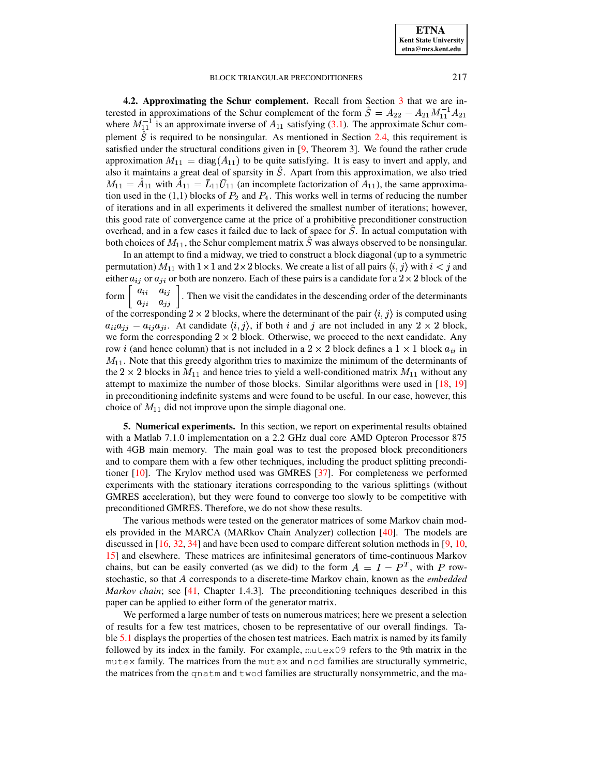**ETNA Kent State University** etna@mcs.kent.edu

## BLOCK TRIANGULAR PRECONDITIONERS

<span id="page-8-1"></span>4.2. Approximating the Schur complement. Recall from Section 3 that we are interested in approximations of the Schur complement of the form  $\hat{S} = A_{22} - A_{21} M_{11}^{-1} A_{21}$ where  $M_{11}^{-1}$  is an approximate inverse of  $A_{11}$  satisfying (3.1). The approximate Schur complement  $\hat{S}$  is required to be nonsingular. As mentioned in Section 2.4, this requirement is satisfied under the structural conditions given in [9, Theorem 3]. We found the rather crude approximation  $M_{11} = diag(A_{11})$  to be quite satisfying. It is easy to invert and apply, and also it maintains a great deal of sparsity in  $\hat{S}$ . Apart from this approximation, we also tried  $M_{11} = \hat{A}_{11}$  with  $\hat{A}_{11} = \bar{L}_{11} \bar{U}_{11}$  (an incomplete factorization of  $A_{11}$ ), the same approximation used in the  $(1,1)$  blocks of  $P_2$  and  $P_4$ . This works well in terms of reducing the number of iterations and in all experiments it delivered the smallest number of iterations; however, this good rate of convergence came at the price of a prohibitive preconditioner construction overhead, and in a few cases it failed due to lack of space for S. In actual computation with both choices of  $M_{11}$ , the Schur complement matrix S was always observed to be nonsingular.

In an attempt to find a midway, we tried to construct a block diagonal (up to a symmetric permutation)  $M_{11}$  with  $1 \times 1$  and  $2 \times 2$  blocks. We create a list of all pairs  $\langle i, j \rangle$  with  $i < j$  and either  $a_{ij}$  or  $a_{ji}$  or both are nonzero. Each of these pairs is a candidate for a  $2 \times 2$  block of the form  $\begin{bmatrix} a_{ii} & a_{ij} \\ a_{ji} & a_{jj} \end{bmatrix}$ . Then we visit the candidates in the descending order of the determinants of the corresponding 2  $\times$  2 blocks, where the determinant of the pair  $\langle i, j \rangle$  is computed using  $a_{ii}a_{jj} - a_{ij}a_{ji}$ . At candidate  $\langle i, j \rangle$ , if both i and j are not included in any  $2 \times 2$  block, we form the corresponding  $2 \times 2$  block. Otherwise, we proceed to the next candidate. Any row *i* (and hence column) that is not included in a 2  $\times$  2 block defines a 1  $\times$  1 block  $a_{ii}$  in  $M_{11}$ . Note that this greedy algorithm tries to maximize the minimum of the determinants of the 2  $\times$  2 blocks in  $M_{11}$  and hence tries to yield a well-conditioned matrix  $M_{11}$  without any attempt to maximize the number of those blocks. Similar algorithms were used in [18, 19] in preconditioning indefinite systems and were found to be useful. In our case, however, this choice of  $M_{11}$  did not improve upon the simple diagonal one.

<span id="page-8-0"></span>**5. Numerical experiments.** In this section, we report on experimental results obtained with a Matlab 7.1.0 implementation on a 2.2 GHz dual core AMD Opteron Processor 875 with 4GB main memory. The main goal was to test the proposed block preconditioners and to compare them with a few other techniques, including the product splitting preconditioner  $[10]$ . The Krylov method used was GMRES  $[37]$ . For completeness we performed experiments with the stationary iterations corresponding to the various splittings (without GMRES acceleration), but they were found to converge too slowly to be competitive with preconditioned GMRES. Therefore, we do not show these results.

The various methods were tested on the generator matrices of some Markov chain models provided in the MARCA (MARkov Chain Analyzer) collection  $[40]$ . The models are discussed in  $[16, 32, 34]$  and have been used to compare different solution methods in  $[9, 10, 10]$ 15] and elsewhere. These matrices are infinitesimal generators of time-continuous Markov chains, but can be easily converted (as we did) to the form  $A = I - P<sup>T</sup>$ , with P rowstochastic, so that A corresponds to a discrete-time Markov chain, known as the *embedded Markov chain*; see [41, Chapter 1.4.3]. The preconditioning techniques described in this paper can be applied to either form of the generator matrix.

We performed a large number of tests on numerous matrices; here we present a selection of results for a few test matrices, chosen to be representative of our overall findings. Table 5.1 displays the properties of the chosen test matrices. Each matrix is named by its family followed by its index in the family. For example, mutex09 refers to the 9th matrix in the mutex family. The matrices from the mutex and ncd families are structurally symmetric, the matrices from the qnatm and twod families are structurally nonsymmetric, and the ma-

217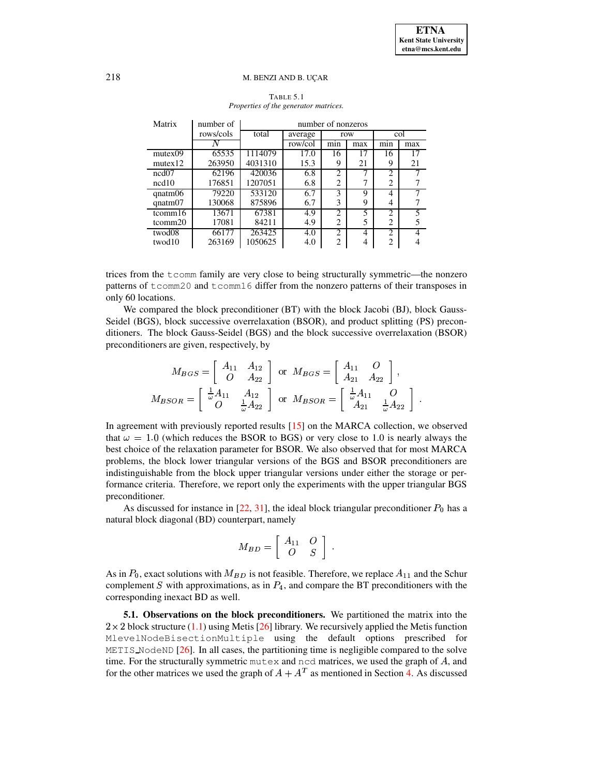<span id="page-9-0"></span>

| Matrix        | number of | number of nonzeros  |         |                |     |                |     |  |  |  |
|---------------|-----------|---------------------|---------|----------------|-----|----------------|-----|--|--|--|
|               | rows/cols | total               | average | row            |     |                | col |  |  |  |
|               | Ν         |                     | row/col | min            | max | min            | max |  |  |  |
| mutex09       | 65535     | 1114079             | 17.0    | 16             | 17  | 16             | 17  |  |  |  |
| mutex12       | 263950    | 4031310             | 15.3    | 9              | 21  | 9              | 21  |  |  |  |
| ncd07         | 62196     | 420036              | 6.8     | $\overline{c}$ |     | $\overline{c}$ |     |  |  |  |
| ncd10         | 176851    | 1207051             | 6.8     | 2              | 7   | 2              |     |  |  |  |
| $q$ natm $06$ | 79220     | $533\overline{120}$ | 6.7     | 3              | 9   | 4              |     |  |  |  |
| $q$ natm $07$ | 130068    | 875896              | 6.7     | 3              | 9   | 4              |     |  |  |  |
| tcomm16       | 13671     | 67381               | 4.9     | $\overline{c}$ | 5   | $\overline{c}$ | 5   |  |  |  |
| tcomm20       | 17081     | 84211               | 4.9     | 2              | 5   | 2              | 5   |  |  |  |
| twod08        | 66177     | 263425              | 4.0     | 2              | 4   | 2              |     |  |  |  |
| twod10        | 263169    | 1050625             | 4.0     | 2              | 4   | 2              |     |  |  |  |

# TABLE 5.1 *Properties of the generator matrices.*

trices from the tcomm family are very close to being structurally symmetric—the nonzero patterns of tcomm20 and tcomm16 differ from the nonzero patterns of their transposes in only 60 locations.

We compared the block preconditioner (BT) with the block Jacobi (BJ), block Gauss-Seidel (BGS), block successive overrelaxation (BSOR), and product splitting (PS) preconditioners. The block Gauss-Seidel (BGS) and the block successive overrelaxation (BSOR) preconditioners are given, respectively, by

$$
M_{BGS} = \begin{bmatrix} A_{11} & A_{12} \\ O & A_{22} \end{bmatrix} \text{ or } M_{BGS} = \begin{bmatrix} A_{11} & O \\ A_{21} & A_{22} \end{bmatrix},
$$
  

$$
M_{BSOR} = \begin{bmatrix} \frac{1}{\omega} A_{11} & A_{12} \\ O & \frac{1}{\omega} A_{22} \end{bmatrix} \text{ or } M_{BSOR} = \begin{bmatrix} \frac{1}{\omega} A_{11} & O \\ A_{21} & \frac{1}{\omega} A_{22} \end{bmatrix}.
$$

In agreement with previously reported results [\[15\]](#page-17-24) on the MARCA collection, we observed that  $\omega = 1.0$  (which reduces the BSOR to BGS) or very close to 1.0 is nearly always the best choice of the relaxation parameter for BSOR. We also observed that for most MARCA problems, the block lower triangular versions of the BGS and BSOR preconditioners are indistinguishable from the block upper triangular versions under either the storage or performance criteria. Therefore, we report only the experiments with the upper triangular BGS preconditioner.

As discussed for instance in [\[22,](#page-17-13) [31\]](#page-17-14), the ideal block triangular preconditioner  $P_0$  has a natural block diagonal (BD) counterpart, namely

$$
M_{BD} = \left[ \begin{array}{cc} A_{11} & O \\ O & S \end{array} \right] .
$$

As in  $P_0$ , exact solutions with  $M_{BD}$  is not feasible. Therefore, we replace  $A_{11}$  and the Schur complement S with approximations, as in  $P_4$ , and compare the BT preconditioners with the corresponding inexact BD as well.

**5.1. Observations on the block preconditioners.** We partitioned the matrix into the  $2 \times 2$  block structure [\(1.1\)](#page-0-0) using Metis [\[26\]](#page-17-25) library. We recursively applied the Metis function MlevelNodeBisectionMultiple using the default options prescribed for METIS NodeND [\[26\]](#page-17-25). In all cases, the partitioning time is negligible compared to the solve time. For the structurally symmetric mutex and ncd matrices, we used the graph of  $A$ , and for the other matrices we used the graph of  $A + A<sup>T</sup>$  as mentioned in Section [4.](#page-6-0) As discussed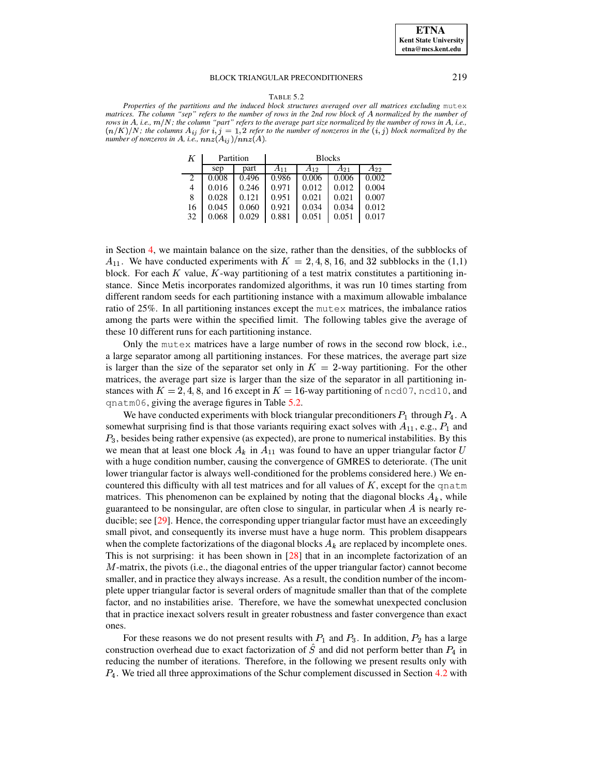#### TABLE 5.2

<span id="page-10-0"></span>*Properties of the partitions and the induced block structures averaged over all matrices excluding* mutex matrices. The column "sep" refers to the number of rows in the 2nd row block of A normalized by the number of rows in A, i.e.,  $m/N$ ; the column "part" refers to the average part size normalized by the number of rows in A, i.e.,  $(n/K)/N$ ; the columns  $A_{ij}$  for  $i, j = 1, 2$  refer to the number of nonzeros in the  $(i, j)$  block normalized by the *number of nonzeros in A, i.e.,*  $nnz(A_{ij})/nnz(A)$ .

| Κ  |       | Partition | <b>Blocks</b> |          |          |          |  |
|----|-------|-----------|---------------|----------|----------|----------|--|
|    | sep   | part      | $A_{11}$      | $A_{12}$ | $A_{21}$ | $A_{22}$ |  |
| 2  | 0.008 | 0.496     | 0.986         | 0.006    | 0.006    | 0.002    |  |
| 4  | 0.016 | 0.246     | 0.971         | 0.012    | 0.012    | 0.004    |  |
| 8  | 0.028 | 0.121     | 0.951         | 0.021    | 0.021    | 0.007    |  |
| 16 | 0.045 | 0.060     | 0.921         | 0.034    | 0.034    | 0.012    |  |
| 32 | 0.068 | 0.029     | 0.881         | 0.051    | 0.051    | 0.017    |  |

in Section [4,](#page-6-0) we maintain balance on the size, rather than the densities, of the subblocks of  $A_{11}$ . We have conducted experiments with  $K = 2, 4, 8, 16,$  and 32 subblocks in the (1,1) block. For each  $K$  value,  $K$ -way partitioning of a test matrix constitutes a partitioning instance. Since Metis incorporates randomized algorithms, it was run 10 times starting from different random seeds for each partitioning instance with a maximum allowable imbalance ratio of 25%. In all partitioning instances except the mutex matrices, the imbalance ratios among the parts were within the specified limit. The following tables give the average of these 10 different runs for each partitioning instance.

Only the mutex matrices have a large number of rows in the second row block, i.e., a large separator among all partitioning instances. For these matrices, the average part size is larger than the size of the separator set only in  $K = 2$ -way partitioning. For the other matrices, the average part size is larger than the size of the separator in all partitioning instances with  $K = 2, 4, 8$ , and 16 except in  $K = 16$ -way partitioning of ncd07, ncd10, and qnatm06, giving the average figures in Table [5.2.](#page-10-0)

We have conducted experiments with block triangular preconditioners  $P_1$  through  $P_4$ . A somewhat surprising find is that those variants requiring exact solves with  $A_{11}$ , e.g.,  $P_1$  and  $P_3$ , besides being rather expensive (as expected), are prone to numerical instabilities. By this we mean that at least one block  $A_k$  in  $A_{11}$  was found to have an upper triangular factor U with a huge condition number, causing the convergence of GMRES to deteriorate. (The unit lower triangular factor is always well-conditioned for the problems considered here.) We encountered this difficulty with all test matrices and for all values of  $K$ , except for the qnatm matrices. This phenomenon can be explained by noting that the diagonal blocks  $A_k$ , while guaranteed to be nonsingular, are often close to singular, in particular when  $A$  is nearly reducible; see [\[29\]](#page-17-2). Hence, the corresponding upper triangular factor must have an exceedingly small pivot, and consequently its inverse must have a huge norm. This problem disappears when the complete factorizations of the diagonal blocks  $A_k$  are replaced by incomplete ones. This is not surprising: it has been shown in [\[28\]](#page-17-26) that in an incomplete factorization of an  $M$ -matrix, the pivots (i.e., the diagonal entries of the upper triangular factor) cannot become smaller, and in practice they always increase. As a result, the condition number of the incomplete upper triangular factor is several orders of magnitude smaller than that of the complete factor, and no instabilities arise. Therefore, we have the somewhat unexpected conclusion that in practice inexact solvers result in greater robustness and faster convergence than exact ones.

For these reasons we do not present results with  $P_1$  and  $P_3$ . In addition,  $P_2$  has a large construction overhead due to exact factorization of S and did not perform better than  $P_4$  in reducing the number of iterations. Therefore, in the following we present results only with  $P_4$ . We tried all three approximations of the Schur complement discussed in Section [4.2](#page-8-1) with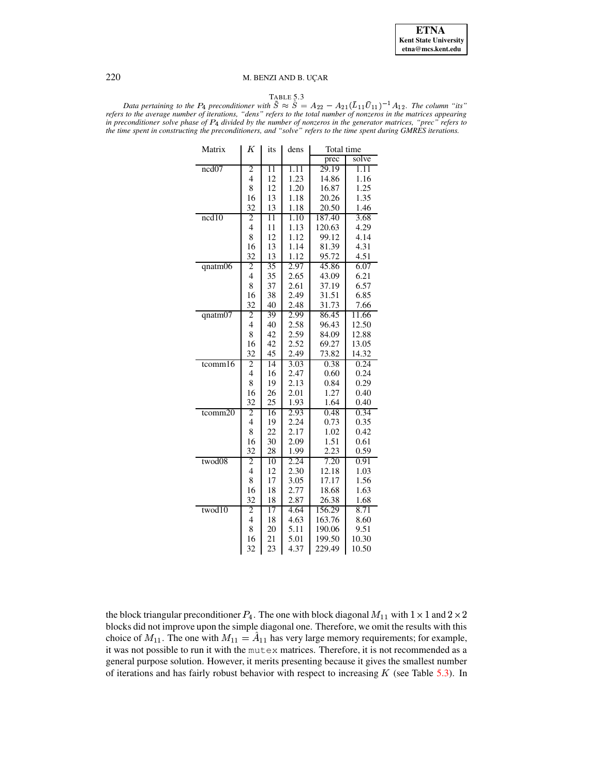<span id="page-11-0"></span> $T_{\text{ABLE 5.3}}$ <br>*Data pertaining to the P<sub>4</sub> preconditioner with*  $\tilde{S} \approx \hat{S} = A_{22} - A_{21} (\bar{L}_{11} \bar{U}_{11})^{-1} A_{12}$ . The column "its" refers to the average number of iterations, "dens" refers to the total number of nonzeros in the matrices appearing in preconditioner solve phase of  $P_4$  divided by the number of nonzeros in the generator matrices, "prec" refers to the time spent in constructing the preconditioners, and "solve" refers to the time spent during GMRES iterations.

| Matrix        | Κ              | its             | dens | Total time |       |  |
|---------------|----------------|-----------------|------|------------|-------|--|
|               |                |                 |      | prec       | solve |  |
| ncd07         | $\overline{c}$ | $\overline{11}$ | 1.11 | 29.19      | 1.11  |  |
|               | $\overline{4}$ | 12              | 1.23 | 14.86      | 1.16  |  |
|               | 8              | 12              | 1.20 | 16.87      | 1.25  |  |
|               | 16             | 13              | 1.18 | 20.26      | 1.35  |  |
|               | 32             | 13              | 1.18 | 20.50      | 1.46  |  |
| ncd10         | 2              | $\overline{11}$ | 1.10 | 187.40     | 3.68  |  |
|               | 4              | 11              | 1.13 | 120.63     | 4.29  |  |
|               | 8              | 12              | 1.12 | 99.12      | 4.14  |  |
|               | 16             | 13              | 1.14 | 81.39      | 4.31  |  |
|               | 32             | 13              | 1.12 | 95.72      | 4.51  |  |
| $q$ natm $06$ | 2              | 35              | 2.97 | 45.86      | 6.07  |  |
|               | $\overline{4}$ | 35              | 2.65 | 43.09      | 6.21  |  |
|               | 8              | 37              | 2.61 | 37.19      | 6.57  |  |
|               | 16             | 38              | 2.49 | 31.51      | 6.85  |  |
|               | 32             | 40              | 2.48 | 31.73      | 7.66  |  |
| $q$ natm $07$ | $\overline{c}$ | 39              | 2.99 | 86.45      | 11.66 |  |
|               | $\overline{4}$ | 40              | 2.58 | 96.43      | 12.50 |  |
|               | 8              | 42              | 2.59 | 84.09      | 12.88 |  |
|               | 16             | 42              | 2.52 | 69.27      | 13.05 |  |
|               | 32             | 45              | 2.49 | 73.82      | 14.32 |  |
| $t$ comm $16$ | 2              | 14              | 3.03 | 0.38       | 0.24  |  |
|               | $\overline{4}$ | 16              | 2.47 | 0.60       | 0.24  |  |
|               | 8              | 19              | 2.13 | 0.84       | 0.29  |  |
|               | 16             | 26              | 2.01 | 1.27       | 0.40  |  |
|               | 32             | 25              | 1.93 | 1.64       | 0.40  |  |
| tcomm20       | 2              | 16              | 2.93 | 0.48       | 0.34  |  |
|               | $\overline{4}$ | 19              | 2.24 | 0.73       | 0.35  |  |
|               | 8              | 22              | 2.17 | 1.02       | 0.42  |  |
|               | 16             | 30              | 2.09 | 1.51       | 0.61  |  |
|               | 32             | 28              | 1.99 | 2.23       | 0.59  |  |
| twod08        | 2              | 10              | 2.24 | 7.20       | 0.91  |  |
|               | 4              | 12              | 2.30 | 12.18      | 1.03  |  |
|               | 8              | 17              | 3.05 | 17.17      | 1.56  |  |
|               | 16             | 18              | 2.77 | 18.68      | 1.63  |  |
|               | 32             | 18              | 2.87 | 26.38      | 1.68  |  |
| twod10        | 2              | 17              | 4.64 | 156.29     | 8.71  |  |
|               | 4              | 18              | 4.63 | 163.76     | 8.60  |  |
|               | 8              | 20              | 5.11 | 190.06     | 9.51  |  |
|               | 16             | 21              | 5.01 | 199.50     | 10.30 |  |
|               | 32             | 23              | 4.37 | 229.49     | 10.50 |  |

the block triangular preconditioner  $P_4$ . The one with block diagonal  $M_{11}$  with  $1 \times 1$  and  $2 \times 2$ blocks did not improve upon the simple diagonal one. Therefore, we omit the results with this choice of  $M_{11}$ . The one with  $M_{11} = A_{11}$  has very large memory requirements; for example, it was not possible to run it with the mutex matrices. Therefore, it is not recommended as a general purpose solution. However, it merits presenting because it gives the smallest number of iterations and has fairly robust behavior with respect to increasing  $K$  (see Table [5.3\)](#page-11-0). In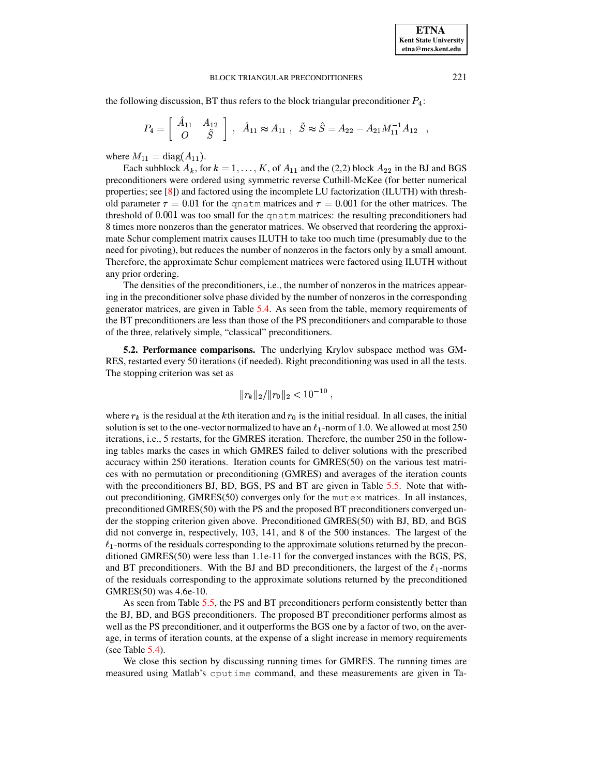the following discussion, BT thus refers to the block triangular preconditioner  $P_4$ :

$$
P_4 = \left[ \begin{array}{cc} \hat{A}_{11} & A_{12} \\ O & \tilde{S} \end{array} \right] , \ \hat{A}_{11} \approx A_{11} , \ \tilde{S} \approx \hat{S} = A_{22} - A_{21} M_{11}^{-1} A_{12} ,
$$

where  $M_{11} = \text{diag}(A_{11})$ .

Each subblock  $A_k$ , for  $k = 1, ..., K$ , of  $A_{11}$  and the (2,2) block  $A_{22}$  in the BJ and BGS \* preconditioners were ordered using symmetric reverse Cuthill-McKee (for better numerical properties; see [\[8\]](#page-16-12)) and factored using the incomplete LU factorization (ILUTH) with threshold parameter  $\tau = 0.01$  for the qnatm matrices and  $\tau = 0.001$  for the other matrices. The threshold of 0.001 was too small for the qnatm matrices: the resulting preconditioners had 8 times more nonzeros than the generator matrices. We observed that reordering the approximate Schur complement matrix causes ILUTH to take too much time (presumably due to the need for pivoting), but reduces the number of nonzeros in the factors only by a small amount. Therefore, the approximate Schur complement matrices were factored using ILUTH without any prior ordering.

The densities of the preconditioners, i.e., the number of nonzeros in the matrices appearing in the preconditionersolve phase divided by the number of nonzeros in the corresponding generator matrices, are given in Table [5.4.](#page-13-0) As seen from the table, memory requirements of the BT preconditioners are less than those of the PS preconditioners and comparable to those of the three, relatively simple, "classical" preconditioners.

**5.2. Performance comparisons.** The underlying Krylov subspace method was GM-RES, restarted every 50 iterations (if needed). Right preconditioning was used in all the tests. The stopping criterion was set as

$$
||r_k||_2/||r_0||_2 < 10^{-10} ,
$$

where  $r_k$  is the residual at the k<sup>th</sup> iteration and  $r_0$  is the initial residual. In all cases, the initial solution is set to the one-vector normalized to have an  $\ell_1$ -norm of 1.0. We allowed at most 250 iterations, i.e., 5 restarts, for the GMRES iteration. Therefore, the number 250 in the following tables marks the cases in which GMRES failed to deliver solutions with the prescribed accuracy within 250 iterations. Iteration counts for GMRES(50) on the various test matrices with no permutation or preconditioning (GMRES) and averages of the iteration counts with the preconditioners BJ, BD, BGS, PS and BT are given in Table [5.5.](#page-14-0) Note that without preconditioning, GMRES(50) converges only for the mutex matrices. In all instances, preconditioned GMRES(50) with the PS and the proposed BT preconditioners converged under the stopping criterion given above. Preconditioned GMRES(50) with BJ, BD, and BGS did not converge in, respectively, 103, 141, and 8 of the 500 instances. The largest of the  $\ell_1$ -norms of the residuals corresponding to the approximate solutions returned by the preconditioned GMRES(50) were less than 1.1e-11 for the converged instances with the BGS, PS, and BT preconditioners. With the BJ and BD preconditioners, the largest of the  $\ell_1$ -norms of the residuals corresponding to the approximate solutions returned by the preconditioned GMRES(50) was 4.6e-10.

As seen from Table [5.5,](#page-14-0) the PS and BT preconditioners perform consistently better than the BJ, BD, and BGS preconditioners. The proposed BT preconditioner performs almost as well as the PS preconditioner, and it outperforms the BGS one by a factor of two, on the average, in terms of iteration counts, at the expense of a slight increase in memory requirements (see Table  $5.4$ ).

We close this section by discussing running times for GMRES. The running times are measured using Matlab's cputime command, and these measurements are given in Ta-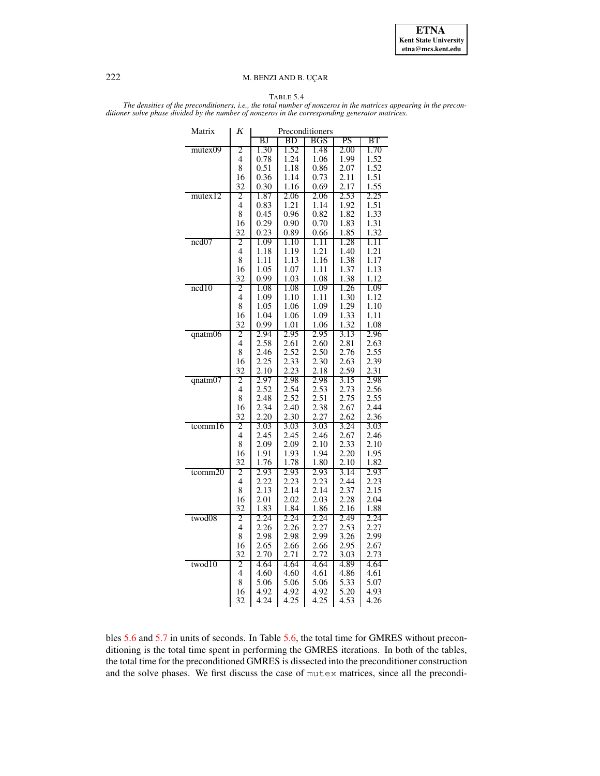**ETNA Kent State University etna@mcs.kent.edu**

# 222 M. BENZI AND B. UÇAR

# TABLE 5.4

<span id="page-13-0"></span>The densities of the preconditioners, i.e., the total number of nonzeros in the matrices appearing in the precon*ditioner solve phase divided by the number of nonzeros in the corresponding generator matrices.*

| Matrix        | Κ              | Preconditioners |              |              |              |              |  |
|---------------|----------------|-----------------|--------------|--------------|--------------|--------------|--|
|               |                | ΒJ              | ВD           | BGS          | PS           | BТ           |  |
| mutex09       | 2              | 1.30            | 1.52         | 1.48         | 2.00         | 1.70         |  |
|               | 4              | 0.78            | 1.24         | 1.06         | 1.99         | 1.52         |  |
|               | 8              | 0.51            | 1.18         | 0.86         | 2.07         | 1.52         |  |
|               | 16             | 0.36            | 1.14         | 0.73         | 2.11         | 1.51         |  |
|               | 32             | 0.30            | 1.16         | 0.69         | 2.17         | 1.55         |  |
| mutex12       | 2              | 1.87            | 2.06         | 2.06         | 2.53         | 2.25         |  |
|               | 4              | 0.83            | 1.21         | 1.14         | 1.92         | 1.51         |  |
|               | 8              | 0.45            | 0.96         | 0.82         | 1.82         | 1.33         |  |
|               | 16             | 0.29            | 0.90         | 0.70         | 1.83         | 1.31         |  |
|               | 32             | 0.23            | 0.89         | 0.66         | 1.85         | 1.32         |  |
| ncd07         | 2              | 1.09            | 1.10         | 1.11         | 1.28         | 1.11         |  |
|               | 4              | 1.18            | 1.19         | 1.21         | 1.40         | 1.21         |  |
|               | 8              | 1.11            | 1.13         | 1.16         | 1.38         | 1.17         |  |
|               | 16             | 1.05            | 1.07         | 1.11         | 1.37         | 1.13         |  |
|               | 32             | 0.99            | 1.03         | 1.08         | 1.38         | 1.12         |  |
| ncd10         | 2              | 1.08            | 1.08         | 1.09         | 1.26         | 1.09         |  |
|               | 4              | 1.09            | 1.10         | 1.11         | 1.30         | 1.12         |  |
|               | 8              | 1.05            | 1.06         | 1.09         | 1.29         | 1.10         |  |
|               | 16             | 1.04            | 1.06         | 1.09         | 1.33         | 1.11         |  |
|               | 32             | 0.99            | 1.01         | 1.06         | 1.32         | 1.08         |  |
| qnatm06       | 2              | 2.94            | 2.95         | 2.95         | 3.13         | 2.96         |  |
|               | 4              | 2.58            | 2.61         | 2.60         | 2.81         | 2.63         |  |
|               | 8              | 2.46            | 2.52         | 2.50         | 2.76         | 2.55         |  |
|               | 16             | 2.25            | 2.33         | 2.30         | 2.63         | 2.39         |  |
|               | 32             | 2.10            | 2.23         | 2.18         | 2.59         | 2.31         |  |
| $q$ natm $07$ | 2              | 2.97            | 2.98         | 2.98         | 3.15         | 2.98         |  |
|               | $\overline{4}$ | 2.52            | 2.54         | 2.53         | 2.73         | 2.56         |  |
|               | 8              | 2.48            | 2.52         | 2.51         | 2.75         | 2.55         |  |
|               | 16             | 2.34            | 2.40         | 2.38         | 2.67         | 2.44         |  |
| tcomm16       | 32<br>2        | 2.20<br>3.03    | 2.30<br>3.03 | 2.27<br>3.03 | 2.62<br>3.24 | 2.36<br>3.03 |  |
|               | 4              | 2.45            | 2.45         | 2.46         | 2.67         | 2.46         |  |
|               | 8              | 2.09            | 2.09         | 2.10         | 2.33         | 2.10         |  |
|               | 16             | 1.91            | 1.93         | 1.94         | 2.20         | 1.95         |  |
|               | 32             | 1.76            | 1.78         | 1.80         | 2.10         | 1.82         |  |
| $t$ comm $20$ | 2              | 2.93            | 2.93         | 2.93         | 3.14         | 2.93         |  |
|               | 4              | 2.22            | 2.23         | 2.23         | 2.44         | 2.23         |  |
|               | 8              | 2.13            | 2.14         | 2.14         | 2.37         | 2.15         |  |
|               | 16             | 2.01            | 2.02         | 2.03         | 2.28         | 2.04         |  |
|               | 32             | 1.83            | 1.84         | 1.86         | 2.16         | 1.88         |  |
| twod08        | 2              | 2.24            | 2.24         | 2.24         | 2.49         | 2.24         |  |
|               | 4              | 2.26            | 2.26         | 2.27         | 2.53         | 2.27         |  |
|               | 8              | 2.98            | 2.98         | 2.99         | 3.26         | 2.99         |  |
|               | 16             | 2.65            | 2.66         | 2.66         | 2.95         | 2.67         |  |
|               | 32             | 2.70            | 2.71         | 2.72         | 3.03         | 2.73         |  |
| twod10        | 2              | 4.64            | 4.64         | 4.64         | 4.89         | 4.64         |  |
|               | 4              | 4.60            | 4.60         | 4.61         | 4.86         | 4.61         |  |
|               | 8              | 5.06            | 5.06         | 5.06         | 5.33         | 5.07         |  |
|               | 16             | 4.92            | 4.92         | 4.92         | 5.20         | 4.93         |  |
|               | 32             | 4.24            | 4.25         | 4.25         | 4.53         | 4.26         |  |

bles [5.6](#page-15-1) and [5.7](#page-16-13) in units of seconds. In Table [5.6,](#page-15-1) the total time for GMRES without preconditioning is the total time spent in performing the GMRES iterations. In both of the tables, the total time for the preconditioned GMRES is dissected into the preconditioner construction and the solve phases. We first discuss the case of mutex matrices, since all the precondi-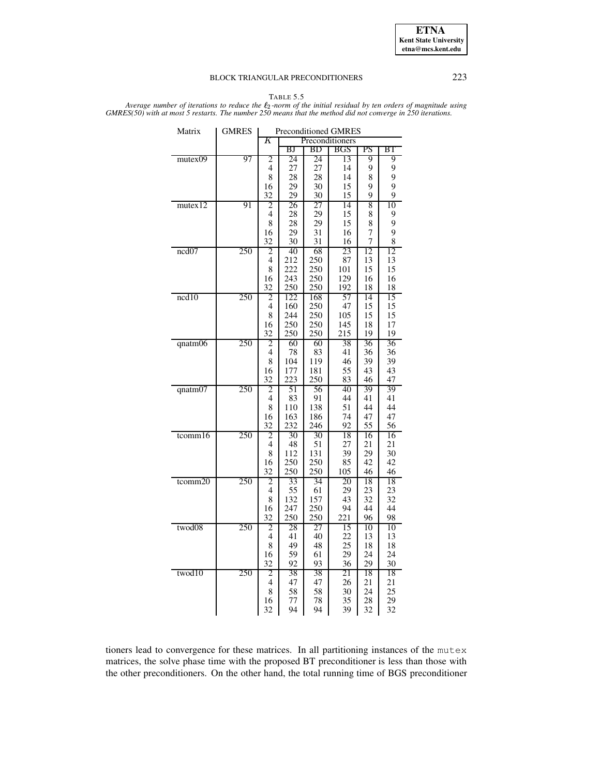

TABLE 5.5

<span id="page-14-0"></span>Average number of iterations to reduce the  $\ell_2$ -norm of the initial residual by ten orders of magnitude using GMRES(50) with at most 5 restarts. The number 250 means that the method did not converge in 250 iterations.

| Matrix  | <b>GMRES</b> | <b>Preconditioned GMRES</b> |            |            |                 |          |          |  |
|---------|--------------|-----------------------------|------------|------------|-----------------|----------|----------|--|
|         |              | K                           |            |            | Preconditioners |          |          |  |
|         |              |                             | ΒJ         | BD         | BGS             | PS       | ΒT       |  |
| mutex09 | 97           | 2                           | 24         | 24         | 13              | 9        | 9        |  |
|         |              | $\overline{4}$              | 27         | 27         | 14              | 9        | 9        |  |
|         |              | 8                           | 28         | 28         | 14              | 8        | 9        |  |
|         |              | 16                          | 29         | 30         | 15              | 9        | 9        |  |
|         |              | 32                          | 29         | 30         | 15              | 9        | 9        |  |
| mutex12 | 91           | 2                           | 26         | 27         | 14              | 8        | 10       |  |
|         |              | 4                           | 28         | 29         | 15              | 8        | 9        |  |
|         |              | 8                           | 28         | 29         | 15              | 8        | 9        |  |
|         |              | 16                          | 29         | 31         | 16              | 7        | 9        |  |
|         |              | 32                          | 30         | 31         | 16              | 7        | 8        |  |
| ncd07   | 250          | 2                           | 40         | 68         | 23              | 12       | 12       |  |
|         |              | 4                           | 212        | 250        | 87              | 13       | 13       |  |
|         |              | 8                           | 222<br>243 | 250<br>250 | 101             | 15       | 15       |  |
|         |              | 16                          | 250        | 250        | 129             | 16       | 16       |  |
| ncd10   | 250          | 32<br>2                     | 122        | 168        | 192<br>57       | 18<br>14 | 18<br>15 |  |
|         |              | 4                           | 160        | 250        | 47              | 15       | 15       |  |
|         |              | 8                           | 244        | 250        | 105             | 15       | 15       |  |
|         |              | 16                          | 250        | 250        | 145             | 18       | 17       |  |
|         |              | 32                          | 250        | 250        | 215             | 19       | 19       |  |
| qnatm06 | 250          | 2                           | 60         | 60         | 38              | 36       | 36       |  |
|         |              | 4                           | 78         | 83         | 41              | 36       | 36       |  |
|         |              | 8                           | 104        | 119        | 46              | 39       | 39       |  |
|         |              | 16                          | 177        | 181        | 55              | 43       | 43       |  |
|         |              | 32                          | 223        | 250        | 83              | 46       | 47       |  |
| qnatm07 | 250          | 2                           | 51         | 56         | 40              | 39       | 39       |  |
|         |              | 4                           | 83         | 91         | 44              | 41       | 41       |  |
|         |              | 8                           | 110        | 138        | 51              | 44       | 44       |  |
|         |              | 16                          | 163        | 186        | 74              | 47       | 47       |  |
|         |              | 32                          | 232        | 246        | 92              | 55       | 56       |  |
| tcomm16 | 250          | 2                           | 30         | 30         | 18              | 16       | 16       |  |
|         |              | 4                           | 48         | 51         | 27              | 21       | 21       |  |
|         |              | 8                           | 112        | 131        | 39              | 29       | 30       |  |
|         |              | 16                          | 250        | 250        | 85              | 42       | 42       |  |
|         |              | 32                          | 250        | 250        | 105             | 46       | 46       |  |
| tcomm20 | 250          | 2                           | 33         | 34         | 20              | 18       | 18       |  |
|         |              | 4                           | 55         | 61         | 29              | 23       | 23       |  |
|         |              | 8                           | 132        | 157        | 43              | 32       | 32       |  |
|         |              | 16                          | 247        | 250        | 94              | 44       | 44       |  |
|         |              | 32                          | 250        | 250        | 221             | 96       | 98       |  |
| twod08  | 250          | 2                           | 28         | 27         | 15              | 10       | 10       |  |
|         |              | 4                           | 41         | 40         | 22              | 13       | 13       |  |
|         |              | 8                           | 49         | 48         | 25              | 18       | 18       |  |
|         |              | 16                          | 59         | 61         | 29              | 24       | 24       |  |
|         |              | 32                          | 92         | 93         | 36              | 29       | 30       |  |
| twod10  | 250          | 2                           | 38         | 38         | 21              | 18       | 18       |  |
|         |              | $\overline{4}$              | 47         | 47         | 26              | 21       | 21       |  |
|         |              | 8                           | 58         | 58         | 30              | 24       | 25       |  |
|         |              | 16                          | 77         | 78         | 35              | 28       | 29       |  |
|         |              | 32                          | 94         | 94         | 39              | 32       | 32       |  |

tioners lead to convergence for these matrices. In all partitioning instances of the mutex matrices, the solve phase time with the proposed BT preconditioner is less than those with the other preconditioners. On the other hand, the total running time of BGS preconditioner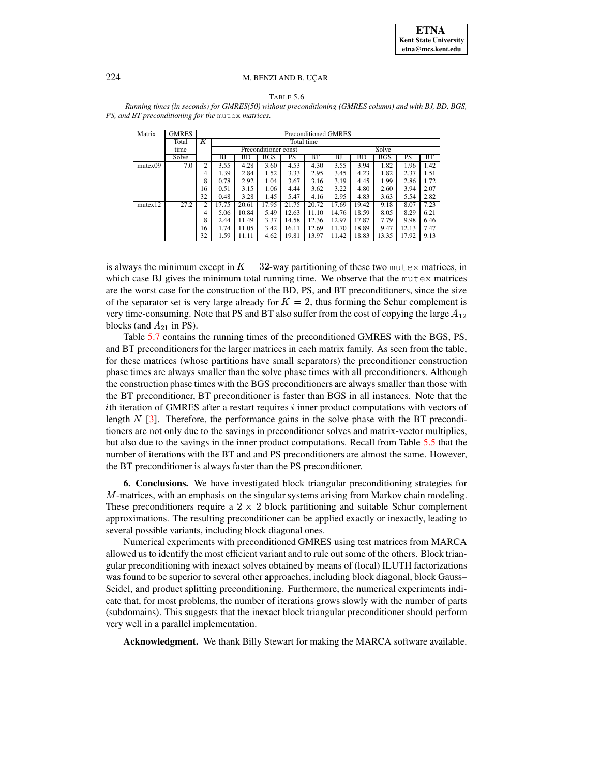|  | ۰, |  |
|--|----|--|
|--|----|--|

<span id="page-15-1"></span>*Running times (in seconds) for GMRES(50) without preconditioning (GMRES column) and with BJ, BD, BGS, PS, and BT preconditioning for the* mutex *matrices.*

| Matrix                | <b>GMRES</b> |                | <b>Preconditioned GMRES</b> |       |                      |       |                    |       |           |            |       |      |
|-----------------------|--------------|----------------|-----------------------------|-------|----------------------|-------|--------------------|-------|-----------|------------|-------|------|
|                       | Total        | Κ              |                             |       |                      |       | Total time         |       |           |            |       |      |
|                       | time         |                |                             |       | Preconditioner const |       |                    |       |           | Solve      |       |      |
|                       | Solve        |                | ΒJ                          | BD    | <b>BGS</b>           | PS.   | <b>BT</b>          | ΒJ    | <b>BD</b> | <b>BGS</b> | PS    | BT   |
| mutex09               | 7.0          | $\overline{c}$ | 3.55                        | 4.28  | 3.60                 | 4.53  | 4.30               | 3.55  | 3.94      | 1.82       | 1.96  | 1.42 |
|                       |              | 4              | 1.39                        | 2.84  | 1.52                 | 3.33  | 2.95               | 3.45  | 4.23      | 1.82       | 2.37  | 1.51 |
|                       |              | 8              | 0.78                        | 2.92  | 1.04                 | 3.67  | 3.16               | 3.19  | 4.45      | 1.99       | 2.86  | 1.72 |
|                       |              | 16             | 0.51                        | 3.15  | 1.06                 | 4.44  | 3.62               | 3.22  | 4.80      | 2.60       | 3.94  | 2.07 |
|                       |              | 32             | 0.48                        | 3.28  | 1.45                 | 5.47  | 4.16               | 2.95  | 4.83      | 3.63       | 5.54  | 2.82 |
| mutex $\overline{12}$ | 27.2         | 2              | 17.75                       | 20.61 | 17.95                | 21.75 | $20.\overline{72}$ | 17.69 | 19.42     | 9.18       | 8.07  | 7.23 |
|                       |              | 4              | 5.06                        | 10.84 | 5.49                 | 12.63 | 11.10              | 14.76 | 18.59     | 8.05       | 8.29  | 6.21 |
|                       |              | 8              | 2.44                        | 11.49 | 3.37                 | 14.58 | 12.36              | 12.97 | 17.87     | 7.79       | 9.98  | 6.46 |
|                       |              | 16             | 1.74                        | 11.05 | 3.42                 | 16.11 | 12.69              | 11.70 | 18.89     | 9.47       | 12.13 | 7.47 |
|                       |              | 32             | 1.59                        | 11.11 | 4.62                 | 19.81 | 13.97              | 11.42 | 18.83     | 13.35      | 17.92 | 9.13 |

is always the minimum except in  $K = 32$ -way partitioning of these two mutex matrices, in which case BJ gives the minimum total running time. We observe that the mutex matrices are the worst case for the construction of the BD, PS, and BT preconditioners, since the size of the separator set is very large already for  $K = 2$ , thus forming the Schur complement is very time-consuming. Note that PS and BT also suffer from the cost of copying the large  $A_{12}$ blocks (and  $A_{21}$  in PS).

Table [5.7](#page-16-13) contains the running times of the preconditioned GMRES with the BGS, PS, and BT preconditioners for the larger matrices in each matrix family. As seen from the table, for these matrices (whose partitions have small separators) the preconditioner construction phase times are always smaller than the solve phase times with all preconditioners. Although the construction phase times with the BGS preconditioners are always smaller than those with the BT preconditioner, BT preconditioner is faster than BGS in all instances. Note that the *i*th iteration of GMRES after a restart requires  $i$  inner product computations with vectors of length  $N$  [\[3\]](#page-16-14). Therefore, the performance gains in the solve phase with the BT preconditioners are not only due to the savings in preconditioner solves and matrix-vector multiplies, but also due to the savings in the inner product computations. Recall from Table [5.5](#page-14-0) that the number of iterations with the BT and and PS preconditioners are almost the same. However, the BT preconditioner is always faster than the PS preconditioner.

<span id="page-15-0"></span>**6. Conclusions.** We have investigated block triangular preconditioning strategies for  $M$ -matrices, with an emphasis on the singular systems arising from Markov chain modeling. These preconditioners require a  $2 \times 2$  block partitioning and suitable Schur complement approximations. The resulting preconditioner can be applied exactly or inexactly, leading to several possible variants, including block diagonal ones.

Numerical experiments with preconditioned GMRES using test matrices from MARCA allowed us to identify the most efficient variant and to rule out some of the others. Block triangular preconditioning with inexact solves obtained by means of (local) ILUTH factorizations was found to be superior to several other approaches, including block diagonal, block Gauss– Seidel, and product splitting preconditioning. Furthermore, the numerical experiments indicate that, for most problems, the number of iterations grows slowly with the number of parts (subdomains). This suggests that the inexact block triangular preconditioner should perform very well in a parallel implementation.

**Acknowledgment.** We thank Billy Stewart for making the MARCA software available.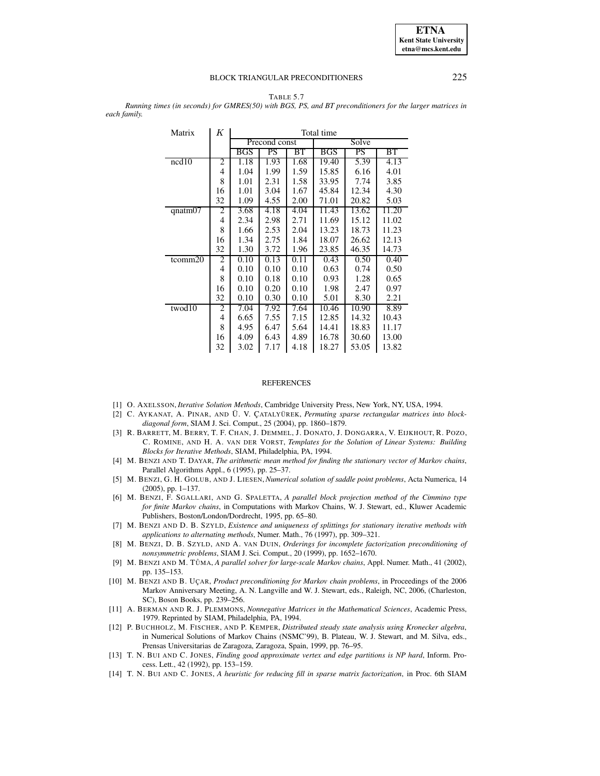

<span id="page-16-13"></span>TABLE 5.7 *Running times (in seconds) for GMRES(50) with BGS, PS, and BT preconditioners for the larger matrices in each family.*

| Matrix     | Κ  | Total time |               |      |            |       |                    |  |  |
|------------|----|------------|---------------|------|------------|-------|--------------------|--|--|
|            |    |            | Precond const |      | Solve      |       |                    |  |  |
|            |    | BGS        | PS            | BT   | <b>BGS</b> | PS    | BT                 |  |  |
| ncd10      | 2  | 1.18       | 1.93          | 1.68 | 19.40      | 5.39  | 4.13               |  |  |
|            | 4  | 1.04       | 1.99          | 1.59 | 15.85      | 6.16  | 4.01               |  |  |
|            | 8  | 1.01       | 2.31          | 1.58 | 33.95      | 7.74  | 3.85               |  |  |
|            | 16 | 1.01       | 3.04          | 1.67 | 45.84      | 12.34 | 4.30               |  |  |
|            | 32 | 1.09       | 4.55          | 2.00 | 71.01      | 20.82 | 5.03               |  |  |
| qnatm $07$ | 2  | 3.68       | 4.18          | 4.04 | 11.43      | 13.62 | $\overline{11.20}$ |  |  |
|            | 4  | 2.34       | 2.98          | 2.71 | 11.69      | 15.12 | 11.02              |  |  |
|            | 8  | 1.66       | 2.53          | 2.04 | 13.23      | 18.73 | 11.23              |  |  |
|            | 16 | 1.34       | 2.75          | 1.84 | 18.07      | 26.62 | 12.13              |  |  |
|            | 32 | 1.30       | 3.72          | 1.96 | 23.85      | 46.35 | 14.73              |  |  |
| tcomm20    | 2  | 0.10       | 0.13          | 0.11 | 0.43       | 0.50  | 0.40               |  |  |
|            | 4  | 0.10       | 0.10          | 0.10 | 0.63       | 0.74  | 0.50               |  |  |
|            | 8  | 0.10       | 0.18          | 0.10 | 0.93       | 1.28  | 0.65               |  |  |
|            | 16 | 0.10       | 0.20          | 0.10 | 1.98       | 2.47  | 0.97               |  |  |
|            | 32 | 0.10       | 0.30          | 0.10 | 5.01       | 8.30  | 2.21               |  |  |
| twod10     | 2  | 7.04       | 7.92          | 7.64 | 10.46      | 10.90 | 8.89               |  |  |
|            | 4  | 6.65       | 7.55          | 7.15 | 12.85      | 14.32 | 10.43              |  |  |
|            | 8  | 4.95       | 6.47          | 5.64 | 14.41      | 18.83 | 11.17              |  |  |
|            | 16 | 4.09       | 6.43          | 4.89 | 16.78      | 30.60 | 13.00              |  |  |
|            | 32 | 3.02       | 7.17          | 4.18 | 18.27      | 53.05 | 13.82              |  |  |

### REFERENCES

- <span id="page-16-10"></span><span id="page-16-8"></span>[1] O. AXELSSON, *Iterative Solution Methods*, Cambridge University Press, New York, NY, USA, 1994.
- [2] C. AYKANAT, A. PINAR, AND U¨ . V. C¸ ATALYU¨ REK, *Permuting sparse rectangular matrices into blockdiagonal form*, SIAM J. Sci. Comput., 25 (2004), pp. 1860–1879.
- <span id="page-16-14"></span>[3] R. BARRETT, M. BERRY, T. F. CHAN, J. DEMMEL, J. DONATO, J. DONGARRA, V. EIJKHOUT, R. POZO, C. ROMINE, AND H. A. VAN DER VORST, *Templates for the Solution of Linear Systems: Building Blocks for Iterative Methods*, SIAM, Philadelphia, PA, 1994.
- <span id="page-16-4"></span>[4] M. BENZI AND T. DAYAR, *The arithmetic mean method for finding the stationary vector of Markov chains*, Parallel Algorithms Appl., 6 (1995), pp. 25–37.
- <span id="page-16-0"></span>[5] M. BENZI, G. H. GOLUB, AND J. LIESEN, *Numerical solution of saddle point problems*, Acta Numerica, 14 (2005), pp. 1–137.
- <span id="page-16-5"></span>[6] M. BENZI, F. SGALLARI, AND G. SPALETTA, *A parallel block projection method of the Cimmino type for finite Markov chains*, in Computations with Markov Chains, W. J. Stewart, ed., Kluwer Academic Publishers, Boston/London/Dordrecht, 1995, pp. 65–80.
- <span id="page-16-7"></span>[7] M. BENZI AND D. B. SZYLD, *Existence and uniqueness of splittings for stationary iterative methods with applications to alternating methods*, Numer. Math., 76 (1997), pp. 309–321.
- <span id="page-16-12"></span>[8] M. BENZI, D. B. SZYLD, AND A. VAN DUIN, *Orderings for incomplete factorization preconditioning of nonsymmetric problems*, SIAM J. Sci. Comput., 20 (1999), pp. 1652–1670.
- <span id="page-16-2"></span>[9] M. BENZI AND M. TU˚ MA, *A parallel solver for large-scale Markov chains*, Appl. Numer. Math., 41 (2002), pp. 135–153.
- <span id="page-16-1"></span>[10] M. BENZI AND B. UC¸ AR, *Product preconditioning for Markov chain problems*, in Proceedings of the 2006 Markov Anniversary Meeting, A. N. Langville and W. J. Stewart, eds., Raleigh, NC, 2006, (Charleston, SC), Boson Books, pp. 239–256.
- <span id="page-16-3"></span>[11] A. BERMAN AND R. J. PLEMMONS, *Nonnegative Matrices in the Mathematical Sciences*, Academic Press, 1979. Reprinted by SIAM, Philadelphia, PA, 1994.
- <span id="page-16-6"></span>[12] P. BUCHHOLZ, M. FISCHER, AND P. KEMPER, *Distributed steady state analysis using Kronecker algebra*, in Numerical Solutions of Markov Chains (NSMC'99), B. Plateau, W. J. Stewart, and M. Silva, eds., Prensas Universitarias de Zaragoza, Zaragoza, Spain, 1999, pp. 76–95.
- <span id="page-16-9"></span>[13] T. N. BUI AND C. JONES, *Finding good approximate vertex and edge partitions is NP hard*, Inform. Process. Lett., 42 (1992), pp. 153–159.
- <span id="page-16-11"></span>[14] T. N. BUI AND C. JONES, *A heuristic for reducing fill in sparse matrix factorization*, in Proc. 6th SIAM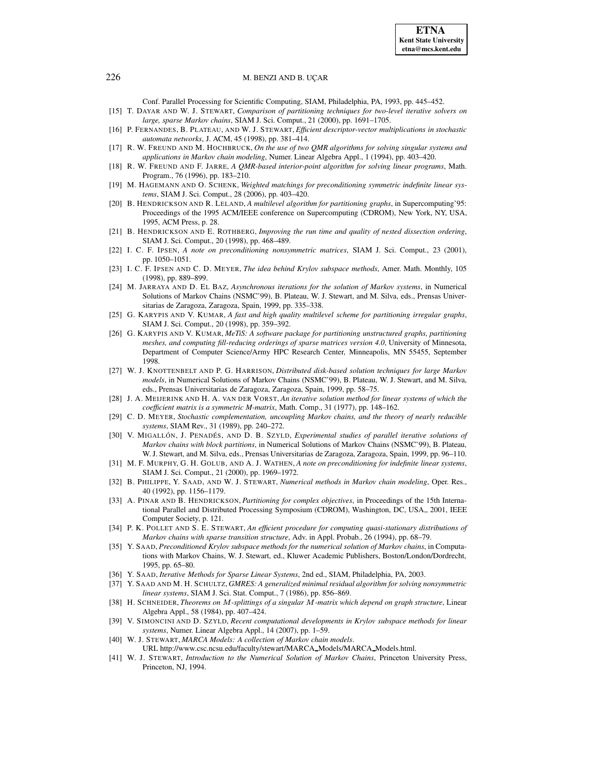Conf. Parallel Processing for Scientific Computing, SIAM, Philadelphia, PA, 1993, pp. 445–452.

- <span id="page-17-24"></span>[15] T. DAYAR AND W. J. STEWART, *Comparison of partitioning techniques for two-level iterative solvers on large, sparse Markov chains*, SIAM J. Sci. Comput., 21 (2000), pp. 1691–1705.
- <span id="page-17-22"></span>[16] P. FERNANDES, B. PLATEAU, AND W. J. STEWART, *Efficient descriptor-vector multiplications in stochastic automata networks*, J. ACM, 45 (1998), pp. 381–414.
- <span id="page-17-17"></span>[17] R. W. FREUND AND M. HOCHBRUCK, *On the use of two QMR algorithms for solving singular systems and applications in Markov chain modeling*, Numer. Linear Algebra Appl., 1 (1994), pp. 403–420.
- <span id="page-17-20"></span>[18] R. W. FREUND AND F. JARRE, *A QMR-based interior-point algorithm for solving linear programs*, Math. Program., 76 (1996), pp. 183–210.
- <span id="page-17-21"></span>[19] M. HAGEMANN AND O. SCHENK, *Weighted matchings for preconditioning symmetric indefinite linear systems*, SIAM J. Sci. Comput., 28 (2006), pp. 403–420.
- <span id="page-17-10"></span>[20] B. HENDRICKSON AND R. LELAND, *A multilevel algorithm for partitioning graphs*, in Supercomputing'95: Proceedings of the 1995 ACM/IEEE conference on Supercomputing (CDROM), New York, NY, USA, 1995, ACM Press, p. 28.
- <span id="page-17-11"></span>[21] B. HENDRICKSON AND E. ROTHBERG, *Improving the run time and quality of nested dissection ordering*, SIAM J. Sci. Comput., 20 (1998), pp. 468–489.
- <span id="page-17-13"></span>[22] I. C. F. IPSEN, *A note on preconditioning nonsymmetric matrices*, SIAM J. Sci. Comput., 23 (2001), pp. 1050–1051.
- <span id="page-17-18"></span>[23] I. C. F. IPSEN AND C. D. MEYER, *The idea behind Krylov subspace methods*, Amer. Math. Monthly, 105 (1998), pp. 889–899.
- <span id="page-17-4"></span>[24] M. JARRAYA AND D. EL BAZ, *Asynchronous iterations for the solution of Markov systems*, in Numerical Solutions of Markov Chains (NSMC'99), B. Plateau, W. J. Stewart, and M. Silva, eds., Prensas Universitarias de Zaragoza, Zaragoza, Spain, 1999, pp. 335–338.
- <span id="page-17-12"></span>[25] G. KARYPIS AND V. KUMAR, *A fast and high quality multilevel scheme for partitioning irregular graphs*, SIAM J. Sci. Comput., 20 (1998), pp. 359–392.
- <span id="page-17-25"></span>[26] G. KARYPIS AND V. KUMAR, *MeTiS: A software package for partitioning unstructured graphs, partitioning meshes, and computing fill-reducing orderings of sparse matrices version 4.0*, University of Minnesota, Department of Computer Science/Army HPC Research Center, Minneapolis, MN 55455, September 1998.
- <span id="page-17-5"></span>[27] W. J. KNOTTENBELT AND P. G. HARRISON, *Distributed disk-based solution techniques for large Markov models*, in Numerical Solutions of Markov Chains (NSMC'99), B. Plateau, W. J. Stewart, and M. Silva, eds., Prensas Universitarias de Zaragoza, Zaragoza, Spain, 1999, pp. 58–75.
- <span id="page-17-26"></span>[28] J. A. MEIJERINK AND H. A. VAN DER VORST, *An iterative solution method for linear systems of which the coefficient matrix is a symmetric M-matrix*, Math. Comp., 31 (1977), pp. 148–162.
- <span id="page-17-2"></span>[29] C. D. MEYER, *Stochastic complementation, uncoupling Markov chains, and the theory of nearly reducible systems*, SIAM Rev., 31 (1989), pp. 240–272.
- <span id="page-17-6"></span>[30] V. MIGALLÓN, J. PENADÉS, AND D. B. SZYLD, *Experimental studies of parallel iterative solutions of Markov chains with block partitions*, in Numerical Solutions of Markov Chains (NSMC'99), B. Plateau, W.J. Stewart, and M. Silva, eds., Prensas Universitarias de Zaragoza, Zaragoza, Spain, 1999, pp. 96–110.
- <span id="page-17-14"></span>[31] M. F. MURPHY, G. H. GOLUB, AND A. J. WATHEN, *A note on preconditioning for indefinite linear systems*, SIAM J. Sci. Comput., 21 (2000), pp. 1969–1972.
- <span id="page-17-7"></span>[32] B. PHILIPPE, Y. SAAD, AND W. J. STEWART, *Numerical methods in Markov chain modeling*, Oper. Res., 40 (1992), pp. 1156–1179.
- <span id="page-17-19"></span>[33] A. PINAR AND B. HENDRICKSON, *Partitioning for complex objectives*, in Proceedings of the 15th International Parallel and Distributed Processing Symposium (CDROM), Washington, DC, USA,, 2001, IEEE Computer Society, p. 121.
- <span id="page-17-23"></span>[34] P. K. POLLET AND S. E. STEWART, *An efficient procedure for computing quasi-stationary distributions of Markov chains with sparse transition structure*, Adv. in Appl. Probab., 26 (1994), pp. 68–79.
- <span id="page-17-8"></span>[35] Y. SAAD, *Preconditioned Krylov subspace methods for the numerical solution of Markov chains*, in Computations with Markov Chains, W. J. Stewart, ed., Kluwer Academic Publishers, Boston/London/Dordrecht, 1995, pp. 65–80.
- <span id="page-17-15"></span><span id="page-17-0"></span>[36] Y. SAAD, *Iterative Methods for Sparse Linear Systems*, 2nd ed., SIAM, Philadelphia, PA, 2003.
- <span id="page-17-9"></span>[37] Y. SAAD AND M. H. SCHULTZ, *GMRES: A generalized minimal residual algorithm for solving nonsymmetric linear systems*, SIAM J. Sci. Stat. Comput., 7 (1986), pp. 856–869.
- [38] H. SCHNEIDER, *Theorems on -splittings of a singular -matrix which depend on graph structure*, Linear Algebra Appl., 58 (1984), pp. 407–424.
- <span id="page-17-16"></span>[39] V. SIMONCINI AND D. SZYLD, *Recent computational developments in Krylov subspace methods for linear systems*, Numer. Linear Algebra Appl., 14 (2007), pp. 1–59.
- <span id="page-17-1"></span>[40] W. J. STEWART, *MARCA Models: A collection of Markov chain models*.
- URL http://www.csc.ncsu.edu/faculty/stewart/MARCA Models/MARCA Models.html.
- <span id="page-17-3"></span>[41] W. J. STEWART, *Introduction to the Numerical Solution of Markov Chains*, Princeton University Press, Princeton, NJ, 1994.